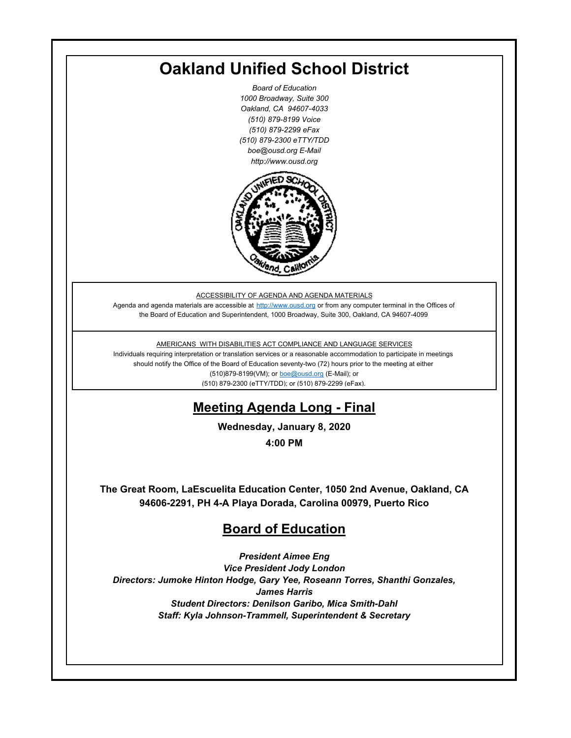## **Oakland Unified School District**

*Board of Education 1000 Broadway, Suite 300 Oakland, CA 94607-4033 (510) 879-8199 Voice (510) 879-2299 eFax (510) 879-2300 eTTY/TDD boe@ousd.org E-Mail http://www.ousd.org*



ACCESSIBILITY OF AGENDA AND AGENDA MATERIALS

Agenda and agenda materials are accessible at http://www.ousd.org or from any computer terminal in the Offices of the Board of Education and Superintendent, 1000 Broadway, Suite 300, Oakland, CA 94607-4099

AMERICANS WITH DISABILITIES ACT COMPLIANCE AND LANGUAGE SERVICES

Individuals requiring interpretation or translation services or a reasonable accommodation to participate in meetings should notify the Office of the Board of Education seventy-two (72) hours prior to the meeting at either (510)879-8199(VM); or boe@ousd.org (E-Mail); or (510) 879-2300 (eTTY/TDD); or (510) 879-2299 (eFax).

## **Meeting Agenda Long - Final**

**Wednesday, January 8, 2020**

**4:00 PM**

**The Great Room, LaEscuelita Education Center, 1050 2nd Avenue, Oakland, CA 94606-2291, PH 4-A Playa Dorada, Carolina 00979, Puerto Rico**

## **Board of Education**

*President Aimee Eng Vice President Jody London Directors: Jumoke Hinton Hodge, Gary Yee, Roseann Torres, Shanthi Gonzales, James Harris Student Directors: Denilson Garibo, Mica Smith-Dahl Staff: Kyla Johnson-Trammell, Superintendent & Secretary*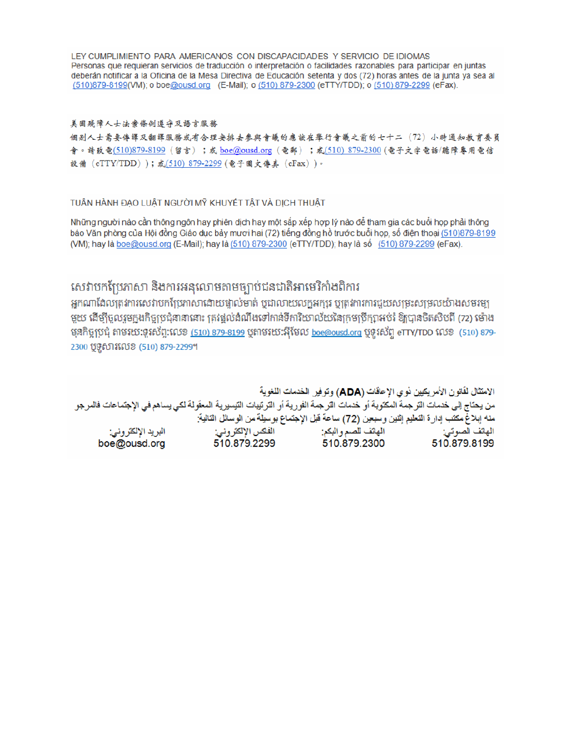LEY CUMPLIMIENTO PARA AMERICANOS CON DISCAPACIDADES Y SERVICIO DE IDIOMAS Personas que requieran servicios de traducción o interpretación o facilidades razonables para participar en juntas deberán notificar a la Oficina de la Mesa Directiva de Educación setenta y dos (72) horas antes de la junta ya sea al (510)879-8199(VM); o boe@ousd.org (E-Mail); o (510) 879-2300 (eTTY/TDD); o (510) 879-2299 (eFax).

#### 美国残障人士法案條例遵守及語言服務

個别人士需要傳譯及翻譯服務或有合理安排去參與會議的應該在舉行會議之前的七十二(72)小時通知教育委員 會。請致電(510)879-8199(留言);或 boe@ousd.org (電郵) ;或(510) 879-2300 (電子文字電話/聽障專用電信 設備 (eTTY/TDD));或(510) 879-2299 (電子圖文傳真 (eFax))。

#### TUẦN HÀNH ĐẠO LUẬT NGƯỜI MỸ KHUYẾT TẤT VÀ DỊCH THUẬT

Những người nào cần thông ngôn hay phiên dịch hay một sắp xếp hợp lý nào để tham gia các buổi họp phải thông báo Văn phòng của Hội đồng Giáo dục bảy mươi hai (72) tiếng đồng hồ trước buổi họp, số điện thoại (510)879-8199 (VM); hay là boe@ousd.org (E-Mail); hay là (510) 879-2300 (eTTY/TDD); hay là số (510) 879-2299 (eFax).

### សេវាបកប្រែភាសា និងការអនុលោមតាមច្បាប់ជនជាតិអាមេរិកាំងពិការ

អកណាដែលត្រូវការសេវាបកប្រែភាសាដោយផ្ទាល់មាត់ ឬជាលាយលក្ខអក្សរ ឬត្រូវការការជួយសម្រះសម្រលយ៉ាងសមរម្យ មួយ ដើម្បីចូលរួមក្នុងកិច្ចប្រជុំនានានោះ ត្រវង្គល់ដំណឹងទៅកាន់ទីការិយាល័យនៃក្រមប្រឹក្សាអប់រំ ឱ្យបានចិតសិបពី (72) ម៉ោង មុនកិច្ចប្រជុំ តាមរយៈទូរស័ព្ទ:លេខ <u>(510) 879-8199</u> បុតាមរយៈអ៊ីមែល <u>boe@ousd.org</u> បុទូរស័ព្ទ eTTY/TDD លេខ (510) 879-2300 ប៊ូទូសារលេខ (510) 879-2299។

الامتثال لقانون الأمريكيين نو ي الإحاقات (ADA) وتوفير الخدمات اللغوية من يحتاج إلى خدمات الترجمة المكتوبة أو خدمات الترجمة الفورية أو الترتيبات التيسيرية المعفّولة لكي يساهم في الإجتماعات فالمرجو منه إبلاغ مكتب إدارة التعليم إثنين وسبعين (72) ساعة قبل الإجتماع بوسيلة من الوسائل التالية: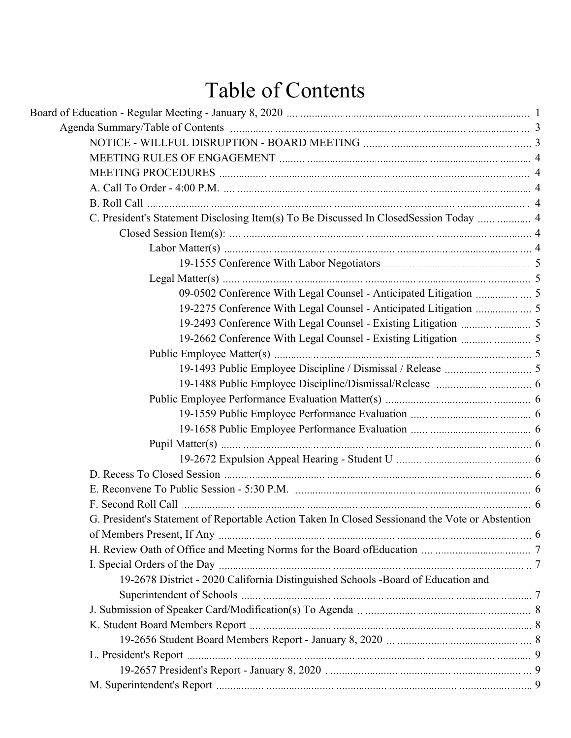# Table of Contents

| C. President's Statement Disclosing Item(s) To Be Discussed In ClosedSession Today  4           |  |
|-------------------------------------------------------------------------------------------------|--|
|                                                                                                 |  |
|                                                                                                 |  |
|                                                                                                 |  |
|                                                                                                 |  |
|                                                                                                 |  |
|                                                                                                 |  |
|                                                                                                 |  |
|                                                                                                 |  |
|                                                                                                 |  |
|                                                                                                 |  |
|                                                                                                 |  |
|                                                                                                 |  |
|                                                                                                 |  |
|                                                                                                 |  |
|                                                                                                 |  |
|                                                                                                 |  |
|                                                                                                 |  |
|                                                                                                 |  |
|                                                                                                 |  |
| G. President's Statement of Reportable Action Taken In Closed Sessionand the Vote or Abstention |  |
|                                                                                                 |  |
|                                                                                                 |  |
|                                                                                                 |  |
| 19-2678 District - 2020 California Distinguished Schools -Board of Education and                |  |
|                                                                                                 |  |
|                                                                                                 |  |
|                                                                                                 |  |
|                                                                                                 |  |
|                                                                                                 |  |
|                                                                                                 |  |
|                                                                                                 |  |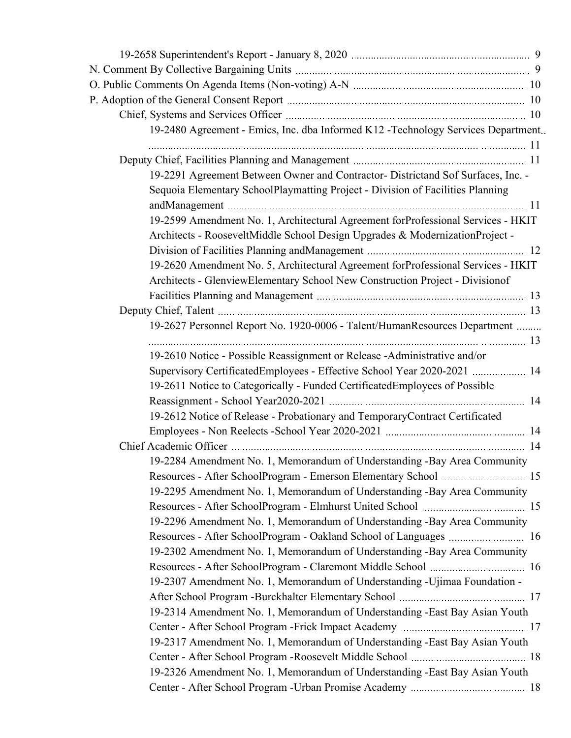| 19-2480 Agreement - Emics, Inc. dba Informed K12 - Technology Services Department. |  |
|------------------------------------------------------------------------------------|--|
|                                                                                    |  |
|                                                                                    |  |
| 19-2291 Agreement Between Owner and Contractor- Districtand Sof Surfaces, Inc. -   |  |
| Sequoia Elementary SchoolPlaymatting Project - Division of Facilities Planning     |  |
| 19-2599 Amendment No. 1, Architectural Agreement forProfessional Services - HKIT   |  |
| Architects - RooseveltMiddle School Design Upgrades & ModernizationProject -       |  |
|                                                                                    |  |
| 19-2620 Amendment No. 5, Architectural Agreement forProfessional Services - HKIT   |  |
| Architects - GlenviewElementary School New Construction Project - Divisionof       |  |
|                                                                                    |  |
|                                                                                    |  |
| 19-2627 Personnel Report No. 1920-0006 - Talent/HumanResources Department          |  |
|                                                                                    |  |
| 19-2610 Notice - Possible Reassignment or Release - Administrative and/or          |  |
| Supervisory CertificatedEmployees - Effective School Year 2020-2021  14            |  |
| 19-2611 Notice to Categorically - Funded Certificated Employees of Possible        |  |
|                                                                                    |  |
| 19-2612 Notice of Release - Probationary and TemporaryContract Certificated        |  |
|                                                                                    |  |
|                                                                                    |  |
| 19-2284 Amendment No. 1, Memorandum of Understanding -Bay Area Community           |  |
|                                                                                    |  |
| 19-2295 Amendment No. 1, Memorandum of Understanding -Bay Area Community           |  |
|                                                                                    |  |
| 19-2296 Amendment No. 1, Memorandum of Understanding -Bay Area Community           |  |
| Resources - After SchoolProgram - Oakland School of Languages  16                  |  |
| 19-2302 Amendment No. 1, Memorandum of Understanding -Bay Area Community           |  |
|                                                                                    |  |
| 19-2307 Amendment No. 1, Memorandum of Understanding -Ujimaa Foundation -          |  |
|                                                                                    |  |
| 19-2314 Amendment No. 1, Memorandum of Understanding -East Bay Asian Youth         |  |
|                                                                                    |  |
| 19-2317 Amendment No. 1, Memorandum of Understanding -East Bay Asian Youth         |  |
|                                                                                    |  |
| 19-2326 Amendment No. 1, Memorandum of Understanding -East Bay Asian Youth         |  |
|                                                                                    |  |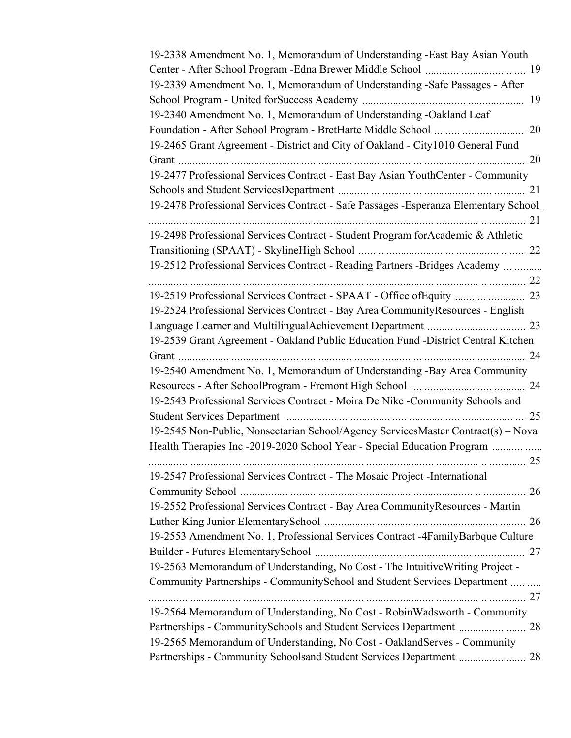| 19-2338 Amendment No. 1, Memorandum of Understanding -East Bay Asian Youth           |  |
|--------------------------------------------------------------------------------------|--|
|                                                                                      |  |
| 19-2339 Amendment No. 1, Memorandum of Understanding -Safe Passages - After          |  |
|                                                                                      |  |
| 19-2340 Amendment No. 1, Memorandum of Understanding -Oakland Leaf                   |  |
|                                                                                      |  |
| 19-2465 Grant Agreement - District and City of Oakland - City1010 General Fund       |  |
|                                                                                      |  |
| 19-2477 Professional Services Contract - East Bay Asian YouthCenter - Community      |  |
|                                                                                      |  |
| 19-2478 Professional Services Contract - Safe Passages -Esperanza Elementary School. |  |
|                                                                                      |  |
| 19-2498 Professional Services Contract - Student Program for Academic & Athletic     |  |
|                                                                                      |  |
| 19-2512 Professional Services Contract - Reading Partners -Bridges Academy           |  |
|                                                                                      |  |
|                                                                                      |  |
| 19-2524 Professional Services Contract - Bay Area Community Resources - English      |  |
|                                                                                      |  |
| 19-2539 Grant Agreement - Oakland Public Education Fund - District Central Kitchen   |  |
|                                                                                      |  |
| 19-2540 Amendment No. 1, Memorandum of Understanding -Bay Area Community             |  |
|                                                                                      |  |
| 19-2543 Professional Services Contract - Moira De Nike -Community Schools and        |  |
|                                                                                      |  |
| 19-2545 Non-Public, Nonsectarian School/Agency ServicesMaster Contract(s) – Nova     |  |
| Health Therapies Inc -2019-2020 School Year - Special Education Program              |  |
|                                                                                      |  |
| 19-2547 Professional Services Contract - The Mosaic Project - International          |  |
|                                                                                      |  |
| 19-2552 Professional Services Contract - Bay Area CommunityResources - Martin        |  |
|                                                                                      |  |
| 19-2553 Amendment No. 1, Professional Services Contract -4FamilyBarbque Culture      |  |
|                                                                                      |  |
| 19-2563 Memorandum of Understanding, No Cost - The Intuitive Writing Project -       |  |
| Community Partnerships - CommunitySchool and Student Services Department             |  |
|                                                                                      |  |
| 19-2564 Memorandum of Understanding, No Cost - RobinWadsworth - Community            |  |
|                                                                                      |  |
| 19-2565 Memorandum of Understanding, No Cost - OaklandServes - Community             |  |
|                                                                                      |  |
| Partnerships - Community Schoolsand Student Services Department  28                  |  |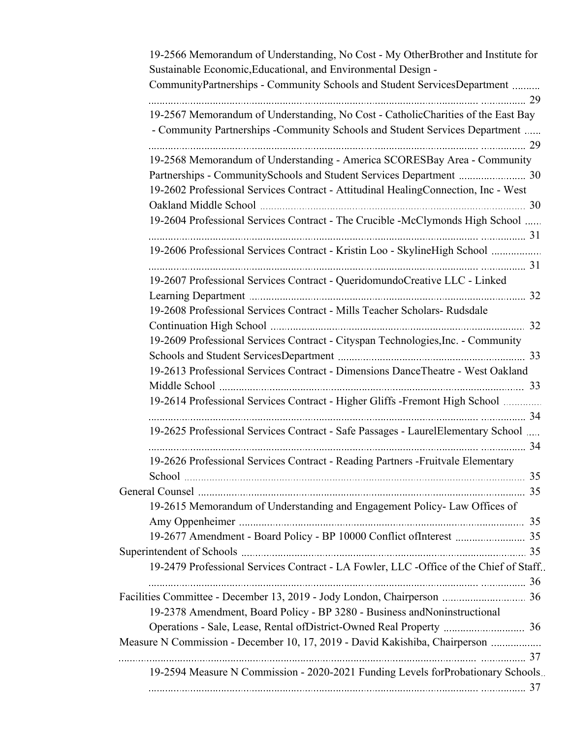| 19-2566 Memorandum of Understanding, No Cost - My OtherBrother and Institute for<br>Sustainable Economic, Educational, and Environmental Design -                |  |
|------------------------------------------------------------------------------------------------------------------------------------------------------------------|--|
| CommunityPartnerships - Community Schools and Student ServicesDepartment                                                                                         |  |
| 19-2567 Memorandum of Understanding, No Cost - CatholicCharities of the East Bay<br>- Community Partnerships - Community Schools and Student Services Department |  |
| 19-2568 Memorandum of Understanding - America SCORESBay Area - Community                                                                                         |  |
| Partnerships - CommunitySchools and Student Services Department  30                                                                                              |  |
| 19-2602 Professional Services Contract - Attitudinal HealingConnection, Inc - West                                                                               |  |
|                                                                                                                                                                  |  |
| 19-2604 Professional Services Contract - The Crucible -McClymonds High School                                                                                    |  |
| 19-2606 Professional Services Contract - Kristin Loo - SkylineHigh School                                                                                        |  |
| 19-2607 Professional Services Contract - QueridomundoCreative LLC - Linked                                                                                       |  |
|                                                                                                                                                                  |  |
| 19-2608 Professional Services Contract - Mills Teacher Scholars- Rudsdale                                                                                        |  |
|                                                                                                                                                                  |  |
| 19-2609 Professional Services Contract - Cityspan Technologies, Inc. - Community                                                                                 |  |
| 19-2613 Professional Services Contract - Dimensions DanceTheatre - West Oakland                                                                                  |  |
| 19-2614 Professional Services Contract - Higher Gliffs -Fremont High School                                                                                      |  |
|                                                                                                                                                                  |  |
| 19-2625 Professional Services Contract - Safe Passages - LaurelElementary School                                                                                 |  |
| 19-2626 Professional Services Contract - Reading Partners - Fruitvale Elementary                                                                                 |  |
|                                                                                                                                                                  |  |
|                                                                                                                                                                  |  |
| 19-2615 Memorandum of Understanding and Engagement Policy- Law Offices of                                                                                        |  |
|                                                                                                                                                                  |  |
|                                                                                                                                                                  |  |
| 19-2479 Professional Services Contract - LA Fowler, LLC -Office of the Chief of Staff.                                                                           |  |
|                                                                                                                                                                  |  |
|                                                                                                                                                                  |  |
| 19-2378 Amendment, Board Policy - BP 3280 - Business and Noninstructional                                                                                        |  |
|                                                                                                                                                                  |  |
| Measure N Commission - December 10, 17, 2019 - David Kakishiba, Chairperson                                                                                      |  |
|                                                                                                                                                                  |  |
| 19-2594 Measure N Commission - 2020-2021 Funding Levels forProbationary Schools.                                                                                 |  |
|                                                                                                                                                                  |  |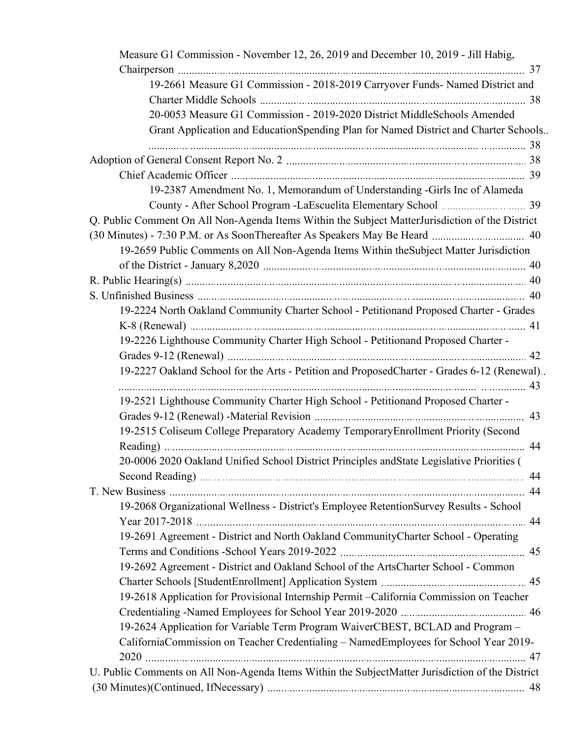| 19-2661 Measure G1 Commission - 2018-2019 Carryover Funds- Named District and<br>20-0053 Measure G1 Commission - 2019-2020 District MiddleSchools Amended<br>Grant Application and EducationSpending Plan for Named District and Charter Schools<br>19-2387 Amendment No. 1, Memorandum of Understanding -Girls Inc of Alameda<br>Q. Public Comment On All Non-Agenda Items Within the Subject MatterJurisdiction of the District<br>19-2659 Public Comments on All Non-Agenda Items Within the Subject Matter Jurisdiction<br>19-2224 North Oakland Community Charter School - Petitionand Proposed Charter - Grades<br>19-2226 Lighthouse Community Charter High School - Petitionand Proposed Charter -<br>19-2227 Oakland School for the Arts - Petition and ProposedCharter - Grades 6-12 (Renewal)<br>19-2521 Lighthouse Community Charter High School - Petitionand Proposed Charter -<br>19-2515 Coliseum College Preparatory Academy Temporary Enrollment Priority (Second<br>20-0006 2020 Oakland Unified School District Principles and State Legislative Priorities (<br>19-2068 Organizational Wellness - District's Employee RetentionSurvey Results - School<br>19-2691 Agreement - District and North Oakland CommunityCharter School - Operating |
|-------------------------------------------------------------------------------------------------------------------------------------------------------------------------------------------------------------------------------------------------------------------------------------------------------------------------------------------------------------------------------------------------------------------------------------------------------------------------------------------------------------------------------------------------------------------------------------------------------------------------------------------------------------------------------------------------------------------------------------------------------------------------------------------------------------------------------------------------------------------------------------------------------------------------------------------------------------------------------------------------------------------------------------------------------------------------------------------------------------------------------------------------------------------------------------------------------------------------------------------------------------------|
|                                                                                                                                                                                                                                                                                                                                                                                                                                                                                                                                                                                                                                                                                                                                                                                                                                                                                                                                                                                                                                                                                                                                                                                                                                                                   |
|                                                                                                                                                                                                                                                                                                                                                                                                                                                                                                                                                                                                                                                                                                                                                                                                                                                                                                                                                                                                                                                                                                                                                                                                                                                                   |
|                                                                                                                                                                                                                                                                                                                                                                                                                                                                                                                                                                                                                                                                                                                                                                                                                                                                                                                                                                                                                                                                                                                                                                                                                                                                   |
|                                                                                                                                                                                                                                                                                                                                                                                                                                                                                                                                                                                                                                                                                                                                                                                                                                                                                                                                                                                                                                                                                                                                                                                                                                                                   |
|                                                                                                                                                                                                                                                                                                                                                                                                                                                                                                                                                                                                                                                                                                                                                                                                                                                                                                                                                                                                                                                                                                                                                                                                                                                                   |
|                                                                                                                                                                                                                                                                                                                                                                                                                                                                                                                                                                                                                                                                                                                                                                                                                                                                                                                                                                                                                                                                                                                                                                                                                                                                   |
|                                                                                                                                                                                                                                                                                                                                                                                                                                                                                                                                                                                                                                                                                                                                                                                                                                                                                                                                                                                                                                                                                                                                                                                                                                                                   |
|                                                                                                                                                                                                                                                                                                                                                                                                                                                                                                                                                                                                                                                                                                                                                                                                                                                                                                                                                                                                                                                                                                                                                                                                                                                                   |
|                                                                                                                                                                                                                                                                                                                                                                                                                                                                                                                                                                                                                                                                                                                                                                                                                                                                                                                                                                                                                                                                                                                                                                                                                                                                   |
|                                                                                                                                                                                                                                                                                                                                                                                                                                                                                                                                                                                                                                                                                                                                                                                                                                                                                                                                                                                                                                                                                                                                                                                                                                                                   |
|                                                                                                                                                                                                                                                                                                                                                                                                                                                                                                                                                                                                                                                                                                                                                                                                                                                                                                                                                                                                                                                                                                                                                                                                                                                                   |
|                                                                                                                                                                                                                                                                                                                                                                                                                                                                                                                                                                                                                                                                                                                                                                                                                                                                                                                                                                                                                                                                                                                                                                                                                                                                   |
|                                                                                                                                                                                                                                                                                                                                                                                                                                                                                                                                                                                                                                                                                                                                                                                                                                                                                                                                                                                                                                                                                                                                                                                                                                                                   |
|                                                                                                                                                                                                                                                                                                                                                                                                                                                                                                                                                                                                                                                                                                                                                                                                                                                                                                                                                                                                                                                                                                                                                                                                                                                                   |
|                                                                                                                                                                                                                                                                                                                                                                                                                                                                                                                                                                                                                                                                                                                                                                                                                                                                                                                                                                                                                                                                                                                                                                                                                                                                   |
|                                                                                                                                                                                                                                                                                                                                                                                                                                                                                                                                                                                                                                                                                                                                                                                                                                                                                                                                                                                                                                                                                                                                                                                                                                                                   |
|                                                                                                                                                                                                                                                                                                                                                                                                                                                                                                                                                                                                                                                                                                                                                                                                                                                                                                                                                                                                                                                                                                                                                                                                                                                                   |
|                                                                                                                                                                                                                                                                                                                                                                                                                                                                                                                                                                                                                                                                                                                                                                                                                                                                                                                                                                                                                                                                                                                                                                                                                                                                   |
|                                                                                                                                                                                                                                                                                                                                                                                                                                                                                                                                                                                                                                                                                                                                                                                                                                                                                                                                                                                                                                                                                                                                                                                                                                                                   |
|                                                                                                                                                                                                                                                                                                                                                                                                                                                                                                                                                                                                                                                                                                                                                                                                                                                                                                                                                                                                                                                                                                                                                                                                                                                                   |
|                                                                                                                                                                                                                                                                                                                                                                                                                                                                                                                                                                                                                                                                                                                                                                                                                                                                                                                                                                                                                                                                                                                                                                                                                                                                   |
|                                                                                                                                                                                                                                                                                                                                                                                                                                                                                                                                                                                                                                                                                                                                                                                                                                                                                                                                                                                                                                                                                                                                                                                                                                                                   |
|                                                                                                                                                                                                                                                                                                                                                                                                                                                                                                                                                                                                                                                                                                                                                                                                                                                                                                                                                                                                                                                                                                                                                                                                                                                                   |
|                                                                                                                                                                                                                                                                                                                                                                                                                                                                                                                                                                                                                                                                                                                                                                                                                                                                                                                                                                                                                                                                                                                                                                                                                                                                   |
|                                                                                                                                                                                                                                                                                                                                                                                                                                                                                                                                                                                                                                                                                                                                                                                                                                                                                                                                                                                                                                                                                                                                                                                                                                                                   |
|                                                                                                                                                                                                                                                                                                                                                                                                                                                                                                                                                                                                                                                                                                                                                                                                                                                                                                                                                                                                                                                                                                                                                                                                                                                                   |
|                                                                                                                                                                                                                                                                                                                                                                                                                                                                                                                                                                                                                                                                                                                                                                                                                                                                                                                                                                                                                                                                                                                                                                                                                                                                   |
|                                                                                                                                                                                                                                                                                                                                                                                                                                                                                                                                                                                                                                                                                                                                                                                                                                                                                                                                                                                                                                                                                                                                                                                                                                                                   |
|                                                                                                                                                                                                                                                                                                                                                                                                                                                                                                                                                                                                                                                                                                                                                                                                                                                                                                                                                                                                                                                                                                                                                                                                                                                                   |
|                                                                                                                                                                                                                                                                                                                                                                                                                                                                                                                                                                                                                                                                                                                                                                                                                                                                                                                                                                                                                                                                                                                                                                                                                                                                   |
|                                                                                                                                                                                                                                                                                                                                                                                                                                                                                                                                                                                                                                                                                                                                                                                                                                                                                                                                                                                                                                                                                                                                                                                                                                                                   |
|                                                                                                                                                                                                                                                                                                                                                                                                                                                                                                                                                                                                                                                                                                                                                                                                                                                                                                                                                                                                                                                                                                                                                                                                                                                                   |
| 19-2692 Agreement - District and Oakland School of the ArtsCharter School - Common                                                                                                                                                                                                                                                                                                                                                                                                                                                                                                                                                                                                                                                                                                                                                                                                                                                                                                                                                                                                                                                                                                                                                                                |
|                                                                                                                                                                                                                                                                                                                                                                                                                                                                                                                                                                                                                                                                                                                                                                                                                                                                                                                                                                                                                                                                                                                                                                                                                                                                   |
| 19-2618 Application for Provisional Internship Permit - California Commission on Teacher                                                                                                                                                                                                                                                                                                                                                                                                                                                                                                                                                                                                                                                                                                                                                                                                                                                                                                                                                                                                                                                                                                                                                                          |
|                                                                                                                                                                                                                                                                                                                                                                                                                                                                                                                                                                                                                                                                                                                                                                                                                                                                                                                                                                                                                                                                                                                                                                                                                                                                   |
| 19-2624 Application for Variable Term Program WaiverCBEST, BCLAD and Program -                                                                                                                                                                                                                                                                                                                                                                                                                                                                                                                                                                                                                                                                                                                                                                                                                                                                                                                                                                                                                                                                                                                                                                                    |
| CaliforniaCommission on Teacher Credentialing - NamedEmployees for School Year 2019-                                                                                                                                                                                                                                                                                                                                                                                                                                                                                                                                                                                                                                                                                                                                                                                                                                                                                                                                                                                                                                                                                                                                                                              |
|                                                                                                                                                                                                                                                                                                                                                                                                                                                                                                                                                                                                                                                                                                                                                                                                                                                                                                                                                                                                                                                                                                                                                                                                                                                                   |
| U. Public Comments on All Non-Agenda Items Within the SubjectMatter Jurisdiction of the District                                                                                                                                                                                                                                                                                                                                                                                                                                                                                                                                                                                                                                                                                                                                                                                                                                                                                                                                                                                                                                                                                                                                                                  |
|                                                                                                                                                                                                                                                                                                                                                                                                                                                                                                                                                                                                                                                                                                                                                                                                                                                                                                                                                                                                                                                                                                                                                                                                                                                                   |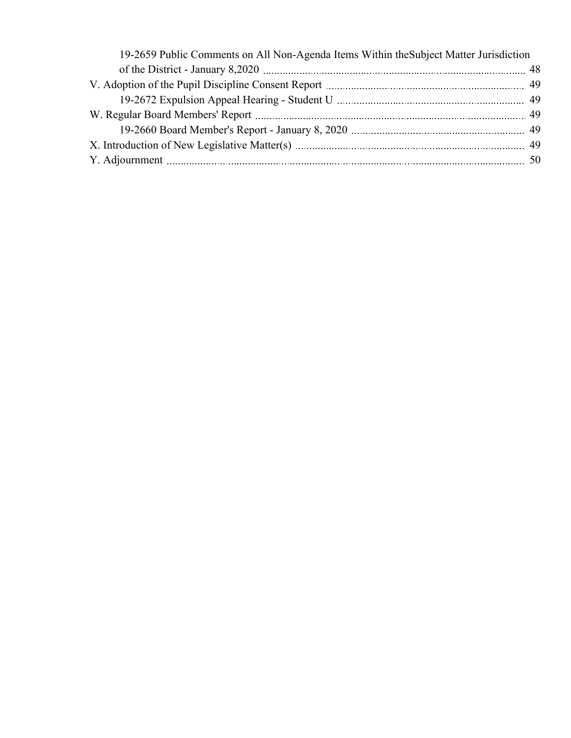| 19-2659 Public Comments on All Non-Agenda Items Within the Subject Matter Jurisdiction |  |
|----------------------------------------------------------------------------------------|--|
|                                                                                        |  |
|                                                                                        |  |
|                                                                                        |  |
|                                                                                        |  |
|                                                                                        |  |
|                                                                                        |  |
|                                                                                        |  |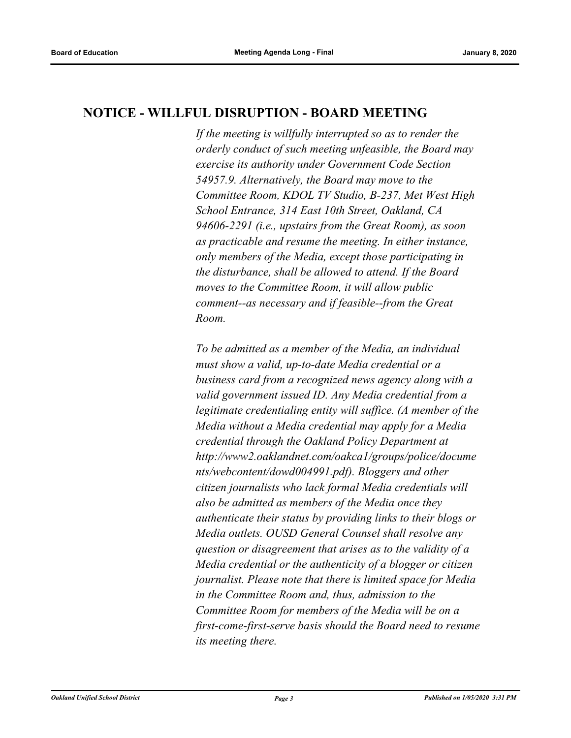### **NOTICE - WILLFUL DISRUPTION - BOARD MEETING**

*If the meeting is willfully interrupted so as to render the orderly conduct of such meeting unfeasible, the Board may exercise its authority under Government Code Section 54957.9. Alternatively, the Board may move to the Committee Room, KDOL TV Studio, B-237, Met West High School Entrance, 314 East 10th Street, Oakland, CA 94606-2291 (i.e., upstairs from the Great Room), as soon as practicable and resume the meeting. In either instance, only members of the Media, except those participating in the disturbance, shall be allowed to attend. If the Board moves to the Committee Room, it will allow public comment--as necessary and if feasible--from the Great Room.*

*To be admitted as a member of the Media, an individual must show a valid, up-to-date Media credential or a business card from a recognized news agency along with a valid government issued ID. Any Media credential from a legitimate credentialing entity will suffice. (A member of the Media without a Media credential may apply for a Media credential through the Oakland Policy Department at http://www2.oaklandnet.com/oakca1/groups/police/docume nts/webcontent/dowd004991.pdf). Bloggers and other citizen journalists who lack formal Media credentials will also be admitted as members of the Media once they authenticate their status by providing links to their blogs or Media outlets. OUSD General Counsel shall resolve any question or disagreement that arises as to the validity of a Media credential or the authenticity of a blogger or citizen journalist. Please note that there is limited space for Media in the Committee Room and, thus, admission to the Committee Room for members of the Media will be on a first-come-first-serve basis should the Board need to resume its meeting there.*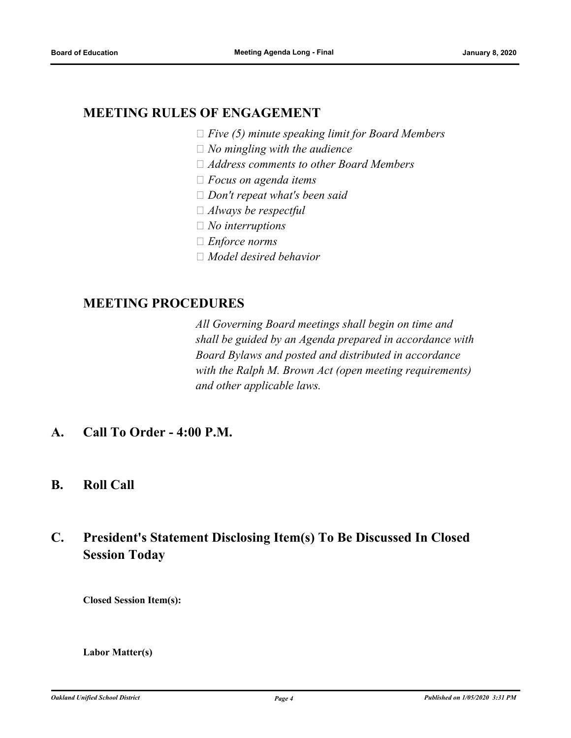### **MEETING RULES OF ENGAGEMENT**

- *Five (5) minute speaking limit for Board Members*
- *No mingling with the audience*
- *Address comments to other Board Members*
- *Focus on agenda items*
- *Don't repeat what's been said*
- *Always be respectful*
- *No interruptions*
- *Enforce norms*
- *Model desired behavior*

### **MEETING PROCEDURES**

*All Governing Board meetings shall begin on time and shall be guided by an Agenda prepared in accordance with Board Bylaws and posted and distributed in accordance with the Ralph M. Brown Act (open meeting requirements) and other applicable laws.*

- **A. Call To Order 4:00 P.M.**
- **B. Roll Call**

## **C. President's Statement Disclosing Item(s) To Be Discussed In Closed Session Today**

**Closed Session Item(s):**

**Labor Matter(s)**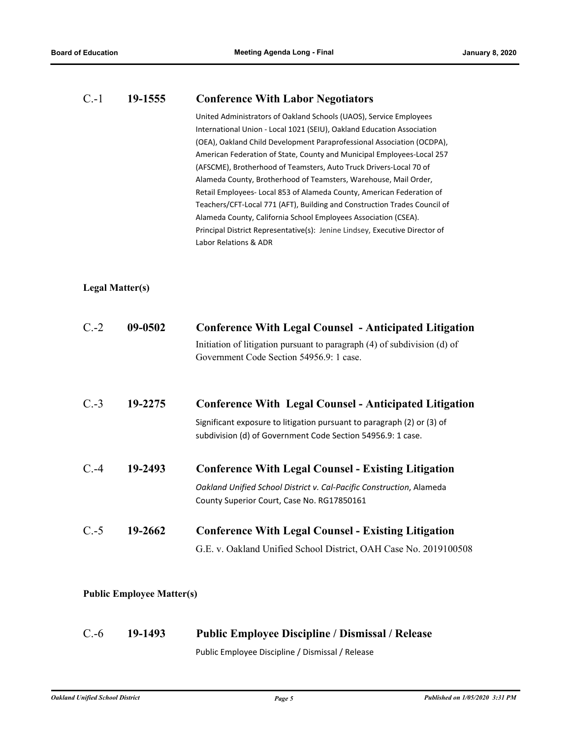### C.-1 **19-1555 Conference With Labor Negotiators**

United Administrators of Oakland Schools (UAOS), Service Employees International Union - Local 1021 (SEIU), Oakland Education Association (OEA), Oakland Child Development Paraprofessional Association (OCDPA), American Federation of State, County and Municipal Employees-Local 257 (AFSCME), Brotherhood of Teamsters, Auto Truck Drivers-Local 70 of Alameda County, Brotherhood of Teamsters, Warehouse, Mail Order, Retail Employees- Local 853 of Alameda County, American Federation of Teachers/CFT-Local 771 (AFT), Building and Construction Trades Council of Alameda County, California School Employees Association (CSEA). Principal District Representative(s): Jenine Lindsey, Executive Director of Labor Relations & ADR

#### **Legal Matter(s)**

| $C.-2$  | 09-0502 | <b>Conference With Legal Counsel - Anticipated Litigation</b><br>Initiation of litigation pursuant to paragraph (4) of subdivision (d) of<br>Government Code Section 54956.9: 1 case. |
|---------|---------|---------------------------------------------------------------------------------------------------------------------------------------------------------------------------------------|
| $C.-3$  | 19-2275 | <b>Conference With Legal Counsel - Anticipated Litigation</b>                                                                                                                         |
|         |         | Significant exposure to litigation pursuant to paragraph (2) or (3) of<br>subdivision (d) of Government Code Section 54956.9: 1 case.                                                 |
| $C. -4$ | 19-2493 | <b>Conference With Legal Counsel - Existing Litigation</b>                                                                                                                            |
|         |         | Oakland Unified School District v. Cal-Pacific Construction, Alameda                                                                                                                  |
|         |         | County Superior Court, Case No. RG17850161                                                                                                                                            |
| $C.-5$  | 19-2662 | <b>Conference With Legal Counsel - Existing Litigation</b>                                                                                                                            |
|         |         | G.E. v. Oakland Unified School District, OAH Case No. 2019100508                                                                                                                      |

#### **Public Employee Matter(s)**

## C.-6 **19-1493 Public Employee Discipline / Dismissal / Release**

Public Employee Discipline / Dismissal / Release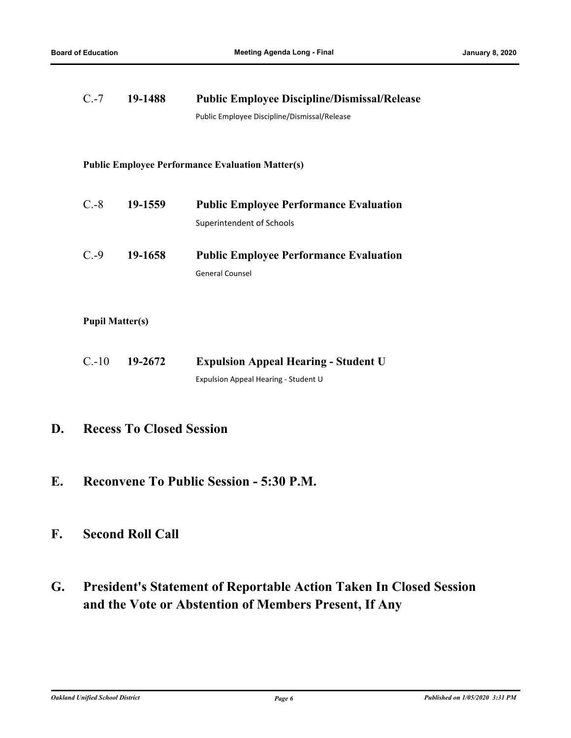| 19-1488<br>$C.-7$      |         | <b>Public Employee Discipline/Dismissal/Release</b>     |
|------------------------|---------|---------------------------------------------------------|
|                        |         | Public Employee Discipline/Dismissal/Release            |
|                        |         |                                                         |
|                        |         | <b>Public Employee Performance Evaluation Matter(s)</b> |
|                        |         |                                                         |
| $C.-8$                 | 19-1559 | <b>Public Employee Performance Evaluation</b>           |
|                        |         | Superintendent of Schools                               |
| $C.-9$                 | 19-1658 | <b>Public Employee Performance Evaluation</b>           |
|                        |         | <b>General Counsel</b>                                  |
|                        |         |                                                         |
| <b>Pupil Matter(s)</b> |         |                                                         |
| $C.-10$                | 19-2672 | <b>Expulsion Appeal Hearing - Student U</b>             |
|                        |         | Expulsion Appeal Hearing - Student U                    |

### **D. Recess To Closed Session**

**E. Reconvene To Public Session - 5:30 P.M.**

### **F. Second Roll Call**

**G. President's Statement of Reportable Action Taken In Closed Session and the Vote or Abstention of Members Present, If Any**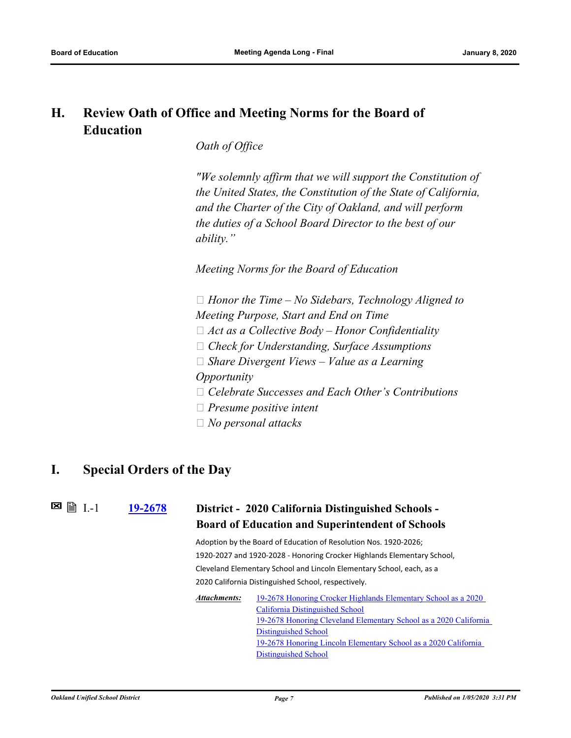## **H. Review Oath of Office and Meeting Norms for the Board of Education**

*Oath of Office*

*"We solemnly affirm that we will support the Constitution of the United States, the Constitution of the State of California, and the Charter of the City of Oakland, and will perform the duties of a School Board Director to the best of our ability."*

*Meeting Norms for the Board of Education*

 *Honor the Time – No Sidebars, Technology Aligned to Meeting Purpose, Start and End on Time Act as a Collective Body – Honor Confidentiality Check for Understanding, Surface Assumptions Share Divergent Views – Value as a Learning Opportunity Celebrate Successes and Each Other's Contributions Presume positive intent*

 *No personal attacks*

### **I. Special Orders of the Day**

**[19-2678](http://ousd.legistar.com/gateway.aspx?m=l&id=/matter.aspx?key=48584) District - 2020 California Distinguished Schools - Board of Education and Superintendent of Schools**  $\blacksquare$   $\blacksquare$  I.-1

> Adoption by the Board of Education of Resolution Nos. 1920-2026; 1920-2027 and 1920-2028 - Honoring Crocker Highlands Elementary School, Cleveland Elementary School and Lincoln Elementary School, each, as a 2020 California Distinguished School, respectively.

[19-2678 Honoring Crocker Highlands Elementary School as a 2020](http://ousd.legistar.com/gateway.aspx?M=F&ID=93873.pdf)  California Distinguished School [19-2678 Honoring Cleveland Elementary School as a 2020 California](http://ousd.legistar.com/gateway.aspx?M=F&ID=93874.pdf)  Distinguished School [19-2678 Honoring Lincoln Elementary School as a 2020 California](http://ousd.legistar.com/gateway.aspx?M=F&ID=93875.pdf)  Distinguished School *Attachments:*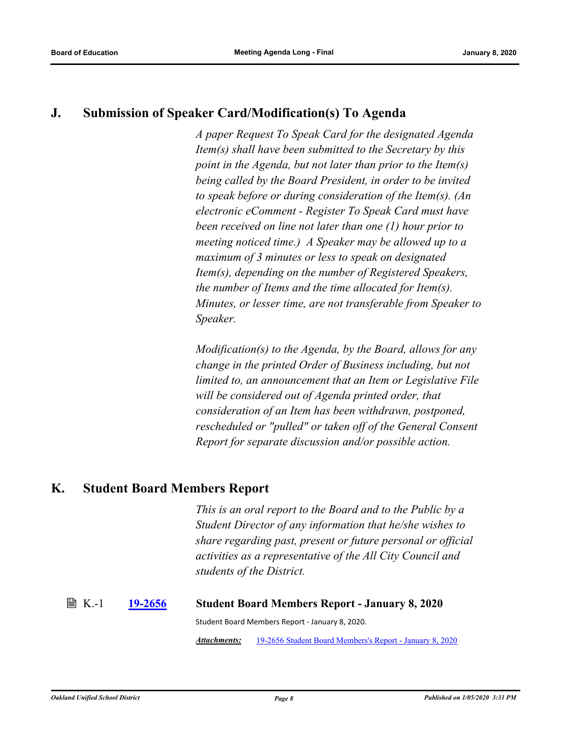### **J. Submission of Speaker Card/Modification(s) To Agenda**

*A paper Request To Speak Card for the designated Agenda Item(s) shall have been submitted to the Secretary by this point in the Agenda, but not later than prior to the Item(s) being called by the Board President, in order to be invited to speak before or during consideration of the Item(s). (An electronic eComment - Register To Speak Card must have been received on line not later than one (1) hour prior to meeting noticed time.) A Speaker may be allowed up to a maximum of 3 minutes or less to speak on designated Item(s), depending on the number of Registered Speakers, the number of Items and the time allocated for Item(s). Minutes, or lesser time, are not transferable from Speaker to Speaker.* 

*Modification(s) to the Agenda, by the Board, allows for any change in the printed Order of Business including, but not limited to, an announcement that an Item or Legislative File will be considered out of Agenda printed order, that consideration of an Item has been withdrawn, postponed, rescheduled or "pulled" or taken off of the General Consent Report for separate discussion and/or possible action.*

### **K. Student Board Members Report**

*This is an oral report to the Board and to the Public by a Student Director of any information that he/she wishes to share regarding past, present or future personal or official activities as a representative of the All City Council and students of the District.*

## K.-1 **[19-2656](http://ousd.legistar.com/gateway.aspx?m=l&id=/matter.aspx?key=48562) Student Board Members Report - January 8, 2020** Student Board Members Report - January 8, 2020.

*Attachments:* [19-2656 Student Board Members's Report - January 8, 2020](http://ousd.legistar.com/gateway.aspx?M=F&ID=93789.pdf)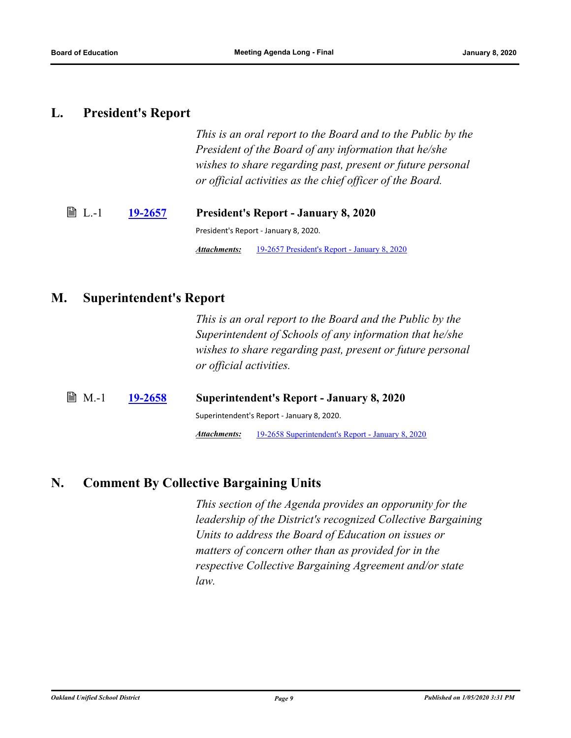### **L. President's Report**

*This is an oral report to the Board and to the Public by the President of the Board of any information that he/she wishes to share regarding past, present or future personal or official activities as the chief officer of the Board.*

L.-1 **[19-2657](http://ousd.legistar.com/gateway.aspx?m=l&id=/matter.aspx?key=48563) President's Report - January 8, 2020** President's Report - January 8, 2020. *Attachments:* [19-2657 President's Report - January 8, 2020](http://ousd.legistar.com/gateway.aspx?M=F&ID=93791.pdf)

### **M. Superintendent's Report**

*This is an oral report to the Board and the Public by the Superintendent of Schools of any information that he/she wishes to share regarding past, present or future personal or official activities.*

M.-1 **[19-2658](http://ousd.legistar.com/gateway.aspx?m=l&id=/matter.aspx?key=48564) Superintendent's Report - January 8, 2020** Superintendent's Report - January 8, 2020. *Attachments:* [19-2658 Superintendent's Report - January 8, 2020](http://ousd.legistar.com/gateway.aspx?M=F&ID=93890.pptx)

### **N. Comment By Collective Bargaining Units**

*This section of the Agenda provides an opporunity for the leadership of the District's recognized Collective Bargaining Units to address the Board of Education on issues or matters of concern other than as provided for in the respective Collective Bargaining Agreement and/or state law.*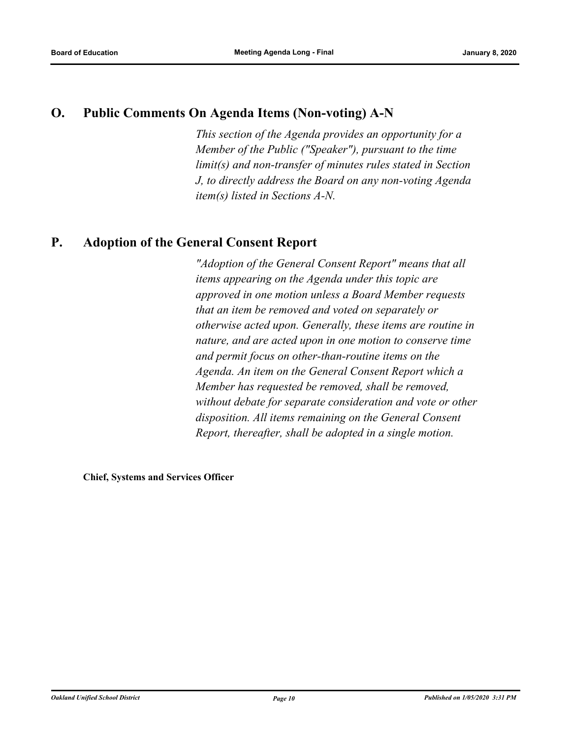### **O. Public Comments On Agenda Items (Non-voting) A-N**

*This section of the Agenda provides an opportunity for a Member of the Public ("Speaker"), pursuant to the time limit(s) and non-transfer of minutes rules stated in Section J, to directly address the Board on any non-voting Agenda item(s) listed in Sections A-N.*

### **P. Adoption of the General Consent Report**

*"Adoption of the General Consent Report" means that all items appearing on the Agenda under this topic are approved in one motion unless a Board Member requests that an item be removed and voted on separately or otherwise acted upon. Generally, these items are routine in nature, and are acted upon in one motion to conserve time and permit focus on other‑than‑routine items on the Agenda. An item on the General Consent Report which a Member has requested be removed, shall be removed, without debate for separate consideration and vote or other disposition. All items remaining on the General Consent Report, thereafter, shall be adopted in a single motion.*

**Chief, Systems and Services Officer**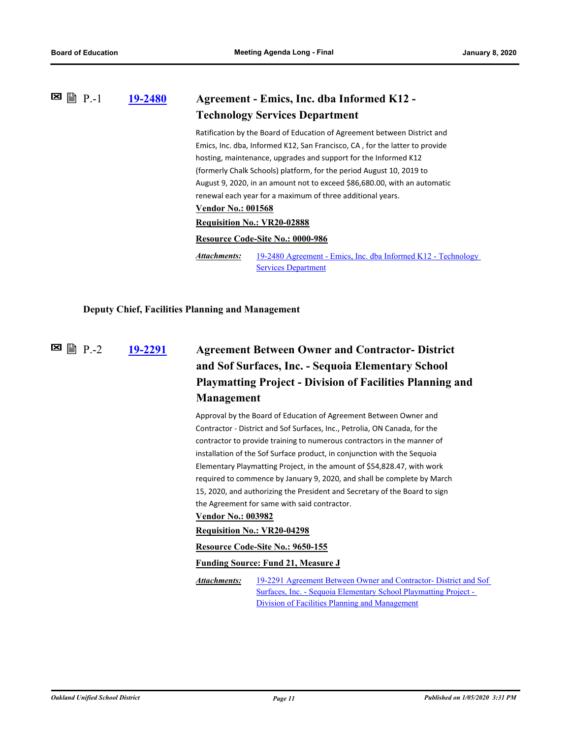### **[19-2480](http://ousd.legistar.com/gateway.aspx?m=l&id=/matter.aspx?key=48390) Agreement - Emics, Inc. dba Informed K12 - Technology Services Department 図 P.-1** Ratification by the Board of Education of Agreement between District and Emics, Inc. dba, Informed K12, San Francisco, CA , for the latter to provide hosting, maintenance, upgrades and support for the Informed K12 (formerly Chalk Schools) platform, for the period August 10, 2019 to August 9, 2020, in an amount not to exceed \$86,680.00, with an automatic renewal each year for a maximum of three additional years. **Vendor No.: 001568 Requisition No.: VR20-02888 Resource Code-Site No.: 0000-986** [19-2480 Agreement - Emics, Inc. dba Informed K12 - Technology](http://ousd.legistar.com/gateway.aspx?M=F&ID=93546.pdf)  Services Department *Attachments:*

#### **Deputy Chief, Facilities Planning and Management**

**図 P.-2** 

## **[19-2291](http://ousd.legistar.com/gateway.aspx?m=l&id=/matter.aspx?key=48203) Agreement Between Owner and Contractor- District and Sof Surfaces, Inc. - Sequoia Elementary School Playmatting Project - Division of Facilities Planning and Management**

Approval by the Board of Education of Agreement Between Owner and Contractor - District and Sof Surfaces, Inc., Petrolia, ON Canada, for the contractor to provide training to numerous contractors in the manner of installation of the Sof Surface product, in conjunction with the Sequoia Elementary Playmatting Project, in the amount of \$54,828.47, with work required to commence by January 9, 2020, and shall be complete by March 15, 2020, and authorizing the President and Secretary of the Board to sign the Agreement for same with said contractor.

#### **Vendor No.: 003982**

#### **Requisition No.: VR20-04298**

**Resource Code-Site No.: 9650-155**

#### **Funding Source: Fund 21, Measure J**

[19-2291 Agreement Between Owner and Contractor- District and Sof](http://ousd.legistar.com/gateway.aspx?M=F&ID=93739.pdf)  Surfaces, Inc. - Sequoia Elementary School Playmatting Project - Division of Facilities Planning and Management *Attachments:*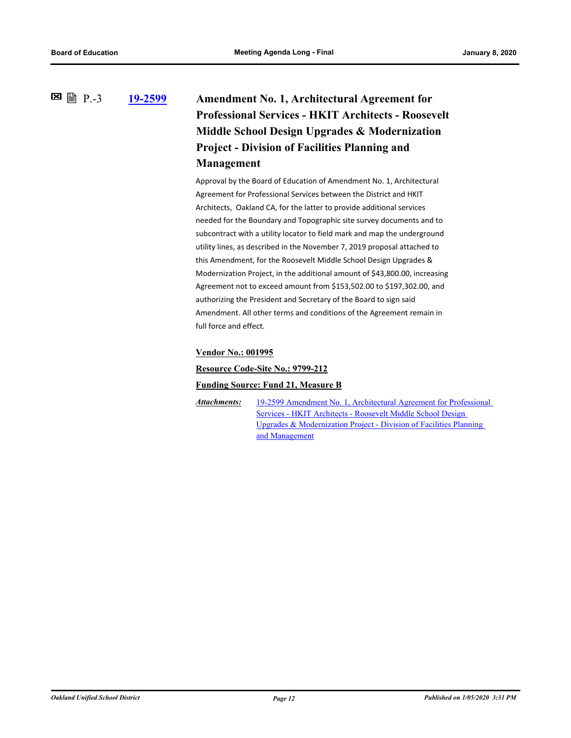### **[19-2599](http://ousd.legistar.com/gateway.aspx?m=l&id=/matter.aspx?key=48505) Amendment No. 1, Architectural Agreement for Professional Services - HKIT Architects - Roosevelt Middle School Design Upgrades & Modernization Project - Division of Facilities Planning and Management 图** 图 P.-3

Approval by the Board of Education of Amendment No. 1, Architectural Agreement for Professional Services between the District and HKIT Architects, Oakland CA, for the latter to provide additional services needed for the Boundary and Topographic site survey documents and to subcontract with a utility locator to field mark and map the underground utility lines, as described in the November 7, 2019 proposal attached to this Amendment, for the Roosevelt Middle School Design Upgrades & Modernization Project, in the additional amount of \$43,800.00, increasing Agreement not to exceed amount from \$153,502.00 to \$197,302.00, and authorizing the President and Secretary of the Board to sign said Amendment. All other terms and conditions of the Agreement remain in full force and effect.

#### **Vendor No.: 001995**

**Resource Code-Site No.: 9799-212**

#### **Funding Source: Fund 21, Measure B**

*Attachments:*

[19-2599 Amendment No. 1, Architectural Agreement for Professional](http://ousd.legistar.com/gateway.aspx?M=F&ID=93740.pdf)  Services - HKIT Architects - Roosevelt Middle School Design Upgrades & Modernization Project - Division of Facilities Planning and Management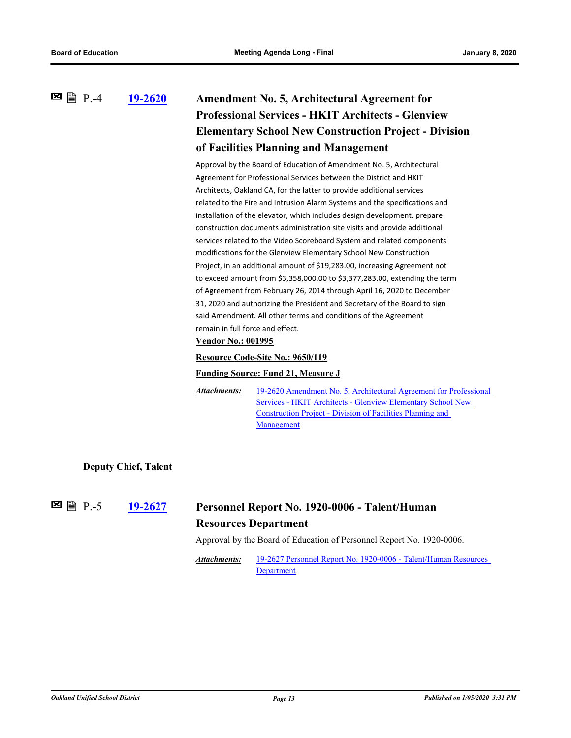### **[19-2620](http://ousd.legistar.com/gateway.aspx?m=l&id=/matter.aspx?key=48526) Amendment No. 5, Architectural Agreement for Professional Services - HKIT Architects - Glenview Elementary School New Construction Project - Division of Facilities Planning and Management 図 P.-4**

Approval by the Board of Education of Amendment No. 5, Architectural Agreement for Professional Services between the District and HKIT Architects, Oakland CA, for the latter to provide additional services related to the Fire and Intrusion Alarm Systems and the specifications and installation of the elevator, which includes design development, prepare construction documents administration site visits and provide additional services related to the Video Scoreboard System and related components modifications for the Glenview Elementary School New Construction Project, in an additional amount of \$19,283.00, increasing Agreement not to exceed amount from \$3,358,000.00 to \$3,377,283.00, extending the term of Agreement from February 26, 2014 through April 16, 2020 to December 31, 2020 and authorizing the President and Secretary of the Board to sign said Amendment. All other terms and conditions of the Agreement remain in full force and effect.

#### **Vendor No.: 001995**

#### **Resource Code-Site No.: 9650/119**

#### **Funding Source: Fund 21, Measure J**

[19-2620 Amendment No. 5, Architectural Agreement for Professional](http://ousd.legistar.com/gateway.aspx?M=F&ID=93741.pdf)  Services - HKIT Architects - Glenview Elementary School New Construction Project - Division of Facilities Planning and **Management** *Attachments:*

**Deputy Chief, Talent**

**E** A P.-5

### **[19-2627](http://ousd.legistar.com/gateway.aspx?m=l&id=/matter.aspx?key=48533) Personnel Report No. 1920-0006 - Talent/Human Resources Department**

Approval by the Board of Education of Personnel Report No. 1920-0006.

[19-2627 Personnel Report No. 1920-0006 - Talent/Human Resources](http://ousd.legistar.com/gateway.aspx?M=F&ID=93738.pdf)  Department *Attachments:*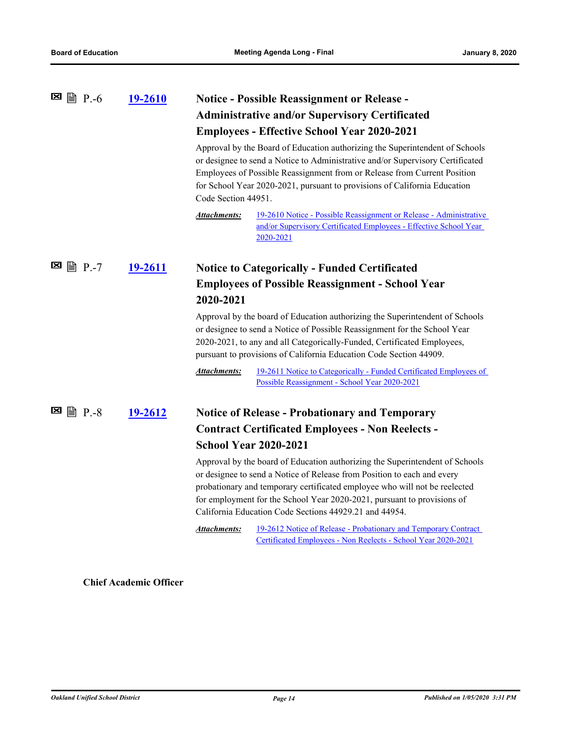|                    | 19-2610        | <b>Notice - Possible Reassignment or Release -</b><br><b>Administrative and/or Supervisory Certificated</b><br><b>Employees - Effective School Year 2020-2021</b><br>Approval by the Board of Education authorizing the Superintendent of Schools<br>or designee to send a Notice to Administrative and/or Supervisory Certificated<br>Employees of Possible Reassignment from or Release from Current Position<br>for School Year 2020-2021, pursuant to provisions of California Education<br>Code Section 44951.<br>19-2610 Notice - Possible Reassignment or Release - Administrative<br><b>Attachments:</b> |                                                                                                                                                                                                                                                                                                                                                                            |
|--------------------|----------------|------------------------------------------------------------------------------------------------------------------------------------------------------------------------------------------------------------------------------------------------------------------------------------------------------------------------------------------------------------------------------------------------------------------------------------------------------------------------------------------------------------------------------------------------------------------------------------------------------------------|----------------------------------------------------------------------------------------------------------------------------------------------------------------------------------------------------------------------------------------------------------------------------------------------------------------------------------------------------------------------------|
|                    |                |                                                                                                                                                                                                                                                                                                                                                                                                                                                                                                                                                                                                                  | and/or Supervisory Certificated Employees - Effective School Year<br>2020-2021                                                                                                                                                                                                                                                                                             |
|                    | 19-2611        | <b>Notice to Categorically - Funded Certificated</b><br><b>Employees of Possible Reassignment - School Year</b><br>2020-2021                                                                                                                                                                                                                                                                                                                                                                                                                                                                                     |                                                                                                                                                                                                                                                                                                                                                                            |
|                    |                |                                                                                                                                                                                                                                                                                                                                                                                                                                                                                                                                                                                                                  |                                                                                                                                                                                                                                                                                                                                                                            |
|                    |                | Approval by the board of Education authorizing the Superintendent of Schools<br>or designee to send a Notice of Possible Reassignment for the School Year<br>2020-2021, to any and all Categorically-Funded, Certificated Employees,<br>pursuant to provisions of California Education Code Section 44909.                                                                                                                                                                                                                                                                                                       |                                                                                                                                                                                                                                                                                                                                                                            |
|                    |                | <b>Attachments:</b>                                                                                                                                                                                                                                                                                                                                                                                                                                                                                                                                                                                              | 19-2611 Notice to Categorically - Funded Certificated Employees of<br>Possible Reassignment - School Year 2020-2021                                                                                                                                                                                                                                                        |
| ⊠<br><b>■ P.-8</b> | <u>19-2612</u> |                                                                                                                                                                                                                                                                                                                                                                                                                                                                                                                                                                                                                  | <b>Notice of Release - Probationary and Temporary</b>                                                                                                                                                                                                                                                                                                                      |
|                    |                | <b>Contract Certificated Employees - Non Reelects -</b><br><b>School Year 2020-2021</b>                                                                                                                                                                                                                                                                                                                                                                                                                                                                                                                          |                                                                                                                                                                                                                                                                                                                                                                            |
|                    |                |                                                                                                                                                                                                                                                                                                                                                                                                                                                                                                                                                                                                                  | Approval by the board of Education authorizing the Superintendent of Schools<br>or designee to send a Notice of Release from Position to each and every<br>probationary and temporary certificated employee who will not be reelected<br>for employment for the School Year 2020-2021, pursuant to provisions of<br>California Education Code Sections 44929.21 and 44954. |
|                    |                | Attachments:                                                                                                                                                                                                                                                                                                                                                                                                                                                                                                                                                                                                     | 19-2612 Notice of Release - Probationary and Temporary Contract<br>Certificated Employees - Non Reelects - School Year 2020-2021                                                                                                                                                                                                                                           |
|                    |                |                                                                                                                                                                                                                                                                                                                                                                                                                                                                                                                                                                                                                  |                                                                                                                                                                                                                                                                                                                                                                            |

**Chief Academic Officer**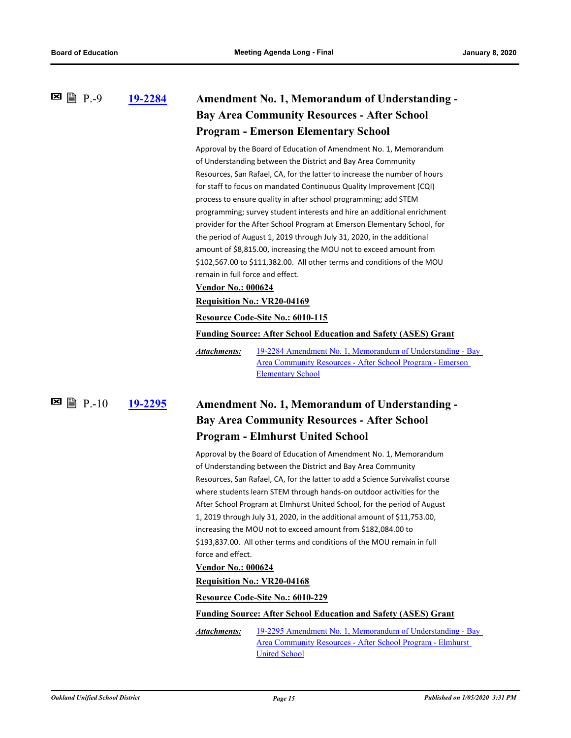**[19-2284](http://ousd.legistar.com/gateway.aspx?m=l&id=/matter.aspx?key=48196) Amendment No. 1, Memorandum of Understanding - Bay Area Community Resources - After School Program - Emerson Elementary School E** ■ P.-9

> Approval by the Board of Education of Amendment No. 1, Memorandum of Understanding between the District and Bay Area Community Resources, San Rafael, CA, for the latter to increase the number of hours for staff to focus on mandated Continuous Quality Improvement (CQI) process to ensure quality in after school programming; add STEM programming; survey student interests and hire an additional enrichment provider for the After School Program at Emerson Elementary School, for the period of August 1, 2019 through July 31, 2020, in the additional amount of \$8,815.00, increasing the MOU not to exceed amount from \$102,567.00 to \$111,382.00. All other terms and conditions of the MOU remain in full force and effect.

**Vendor No.: 000624**

#### **Requisition No.: VR20-04169**

#### **Resource Code-Site No.: 6010-115**

**Funding Source: After School Education and Safety (ASES) Grant**

[19-2284 Amendment No. 1, Memorandum of Understanding - Bay](http://ousd.legistar.com/gateway.aspx?M=F&ID=93750.pdf)  Area Community Resources - After School Program - Emerson Elementary School *Attachments:*

### **[19-2295](http://ousd.legistar.com/gateway.aspx?m=l&id=/matter.aspx?key=48207) Amendment No. 1, Memorandum of Understanding - Bay Area Community Resources - After School Program - Elmhurst United School**  $\Xi$  ■ P.-10

Approval by the Board of Education of Amendment No. 1, Memorandum of Understanding between the District and Bay Area Community Resources, San Rafael, CA, for the latter to add a Science Survivalist course where students learn STEM through hands-on outdoor activities for the After School Program at Elmhurst United School, for the period of August 1, 2019 through July 31, 2020, in the additional amount of \$11,753.00, increasing the MOU not to exceed amount from \$182,084.00 to \$193,837.00. All other terms and conditions of the MOU remain in full force and effect.

### **Vendor No.: 000624**

#### **Requisition No.: VR20-04168**

**Resource Code-Site No.: 6010-229**

**Funding Source: After School Education and Safety (ASES) Grant**

[19-2295 Amendment No. 1, Memorandum of Understanding - Bay](http://ousd.legistar.com/gateway.aspx?M=F&ID=93751.pdf)  Area Community Resources - After School Program - Elmhurst United School *Attachments:*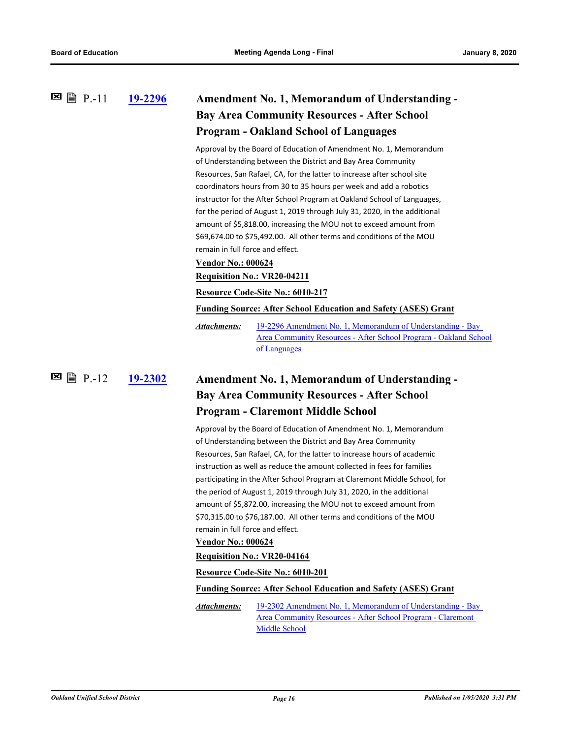**E P**.-11 **[19-2296](http://ousd.legistar.com/gateway.aspx?m=l&id=/matter.aspx?key=48208) Amendment No. 1, Memorandum of Understanding -Bay Area Community Resources - After School Program - Oakland School of Languages**

> Approval by the Board of Education of Amendment No. 1, Memorandum of Understanding between the District and Bay Area Community Resources, San Rafael, CA, for the latter to increase after school site coordinators hours from 30 to 35 hours per week and add a robotics instructor for the After School Program at Oakland School of Languages, for the period of August 1, 2019 through July 31, 2020, in the additional amount of \$5,818.00, increasing the MOU not to exceed amount from \$69,674.00 to \$75,492.00. All other terms and conditions of the MOU remain in full force and effect.

#### **Vendor No.: 000624**

**Requisition No.: VR20-04211**

**Resource Code-Site No.: 6010-217**

**Funding Source: After School Education and Safety (ASES) Grant**

19-2296 Amendment No. 1, Memorandum of Understanding - Bay [Area Community Resources - After School Program - Oakland School](http://ousd.legistar.com/gateway.aspx?M=F&ID=93752.pdf)  of Languages *Attachments:*

**図 P.-12** 

### **[19-2302](http://ousd.legistar.com/gateway.aspx?m=l&id=/matter.aspx?key=48214) Amendment No. 1, Memorandum of Understanding - Bay Area Community Resources - After School Program - Claremont Middle School**

Approval by the Board of Education of Amendment No. 1, Memorandum of Understanding between the District and Bay Area Community Resources, San Rafael, CA, for the latter to increase hours of academic instruction as well as reduce the amount collected in fees for families participating in the After School Program at Claremont Middle School, for the period of August 1, 2019 through July 31, 2020, in the additional amount of \$5,872.00, increasing the MOU not to exceed amount from \$70,315.00 to \$76,187.00. All other terms and conditions of the MOU remain in full force and effect.

#### **Vendor No.: 000624**

#### **Requisition No.: VR20-04164**

**Resource Code-Site No.: 6010-201**

#### **Funding Source: After School Education and Safety (ASES) Grant**

[19-2302 Amendment No. 1, Memorandum of Understanding - Bay](http://ousd.legistar.com/gateway.aspx?M=F&ID=93753.pdf) Area Community Resources - After School Program - Claremont Middle School *Attachments:*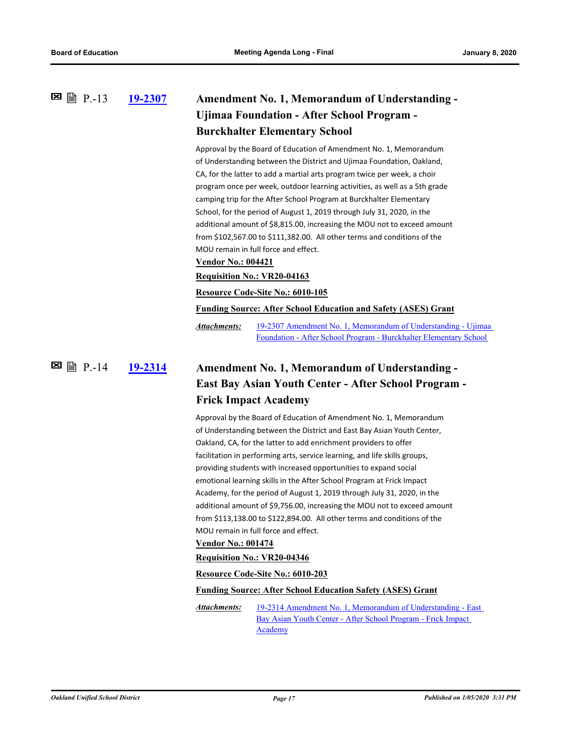#### **[19-2307](http://ousd.legistar.com/gateway.aspx?m=l&id=/matter.aspx?key=48219) Amendment No. 1, Memorandum of Understanding - Ujimaa Foundation - After School Program - Burckhalter Elementary School 图** 图 P.-13

Approval by the Board of Education of Amendment No. 1, Memorandum of Understanding between the District and Ujimaa Foundation, Oakland, CA, for the latter to add a martial arts program twice per week, a choir program once per week, outdoor learning activities, as well as a 5th grade camping trip for the After School Program at Burckhalter Elementary School, for the period of August 1, 2019 through July 31, 2020, in the additional amount of \$8,815.00, increasing the MOU not to exceed amount from \$102,567.00 to \$111,382.00. All other terms and conditions of the MOU remain in full force and effect.

#### **Vendor No.: 004421**

**Requisition No.: VR20-04163**

**Resource Code-Site No.: 6010-105**

**Funding Source: After School Education and Safety (ASES) Grant**

[19-2307 Amendment No. 1, Memorandum of Understanding - Ujimaa](http://ousd.legistar.com/gateway.aspx?M=F&ID=93755.pdf)  Foundation - After School Program - Burckhalter Elementary School *Attachments:*

#### **[19-2314](http://ousd.legistar.com/gateway.aspx?m=l&id=/matter.aspx?key=48226) Amendment No. 1, Memorandum of Understanding - East Bay Asian Youth Center - After School Program - Frick Impact Academy 図 P.-14**

Approval by the Board of Education of Amendment No. 1, Memorandum of Understanding between the District and East Bay Asian Youth Center, Oakland, CA, for the latter to add enrichment providers to offer facilitation in performing arts, service learning, and life skills groups, providing students with increased opportunities to expand social emotional learning skills in the After School Program at Frick Impact Academy, for the period of August 1, 2019 through July 31, 2020, in the additional amount of \$9,756.00, increasing the MOU not to exceed amount from \$113,138.00 to \$122,894.00. All other terms and conditions of the MOU remain in full force and effect.

#### **Vendor No.: 001474**

#### **Requisition No.: VR20-04346**

#### **Resource Code-Site No.: 6010-203**

#### **Funding Source: After School Education Safety (ASES) Grant**

[19-2314 Amendment No. 1, Memorandum of Understanding - East](http://ousd.legistar.com/gateway.aspx?M=F&ID=93754.pdf)  Bay Asian Youth Center - After School Program - Frick Impact Academy *Attachments:*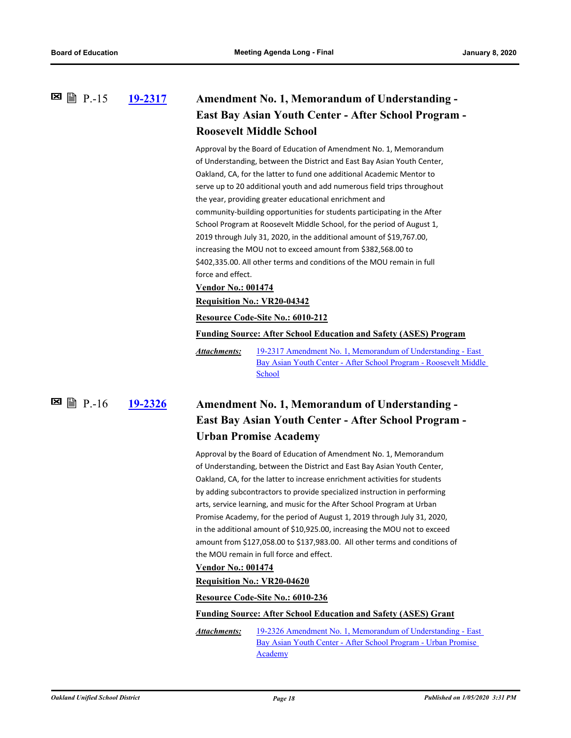#### **[19-2317](http://ousd.legistar.com/gateway.aspx?m=l&id=/matter.aspx?key=48229) Amendment No. 1, Memorandum of Understanding - East Bay Asian Youth Center - After School Program - Roosevelt Middle School 图 P.-15**

Approval by the Board of Education of Amendment No. 1, Memorandum of Understanding, between the District and East Bay Asian Youth Center, Oakland, CA, for the latter to fund one additional Academic Mentor to serve up to 20 additional youth and add numerous field trips throughout the year, providing greater educational enrichment and community-building opportunities for students participating in the After School Program at Roosevelt Middle School, for the period of August 1, 2019 through July 31, 2020, in the additional amount of \$19,767.00, increasing the MOU not to exceed amount from \$382,568.00 to \$402,335.00. All other terms and conditions of the MOU remain in full force and effect.

**Vendor No.: 001474**

#### **Requisition No.: VR20-04342**

#### **Resource Code-Site No.: 6010-212**

**Funding Source: After School Education and Safety (ASES) Program**

19-2317 Amendment No. 1, Memorandum of Understanding - East [Bay Asian Youth Center - After School Program - Roosevelt Middle](http://ousd.legistar.com/gateway.aspx?M=F&ID=93756.pdf)  School *Attachments:*

#### **[19-2326](http://ousd.legistar.com/gateway.aspx?m=l&id=/matter.aspx?key=48238) Amendment No. 1, Memorandum of Understanding - East Bay Asian Youth Center - After School Program - Urban Promise Academy** P.-16

Approval by the Board of Education of Amendment No. 1, Memorandum of Understanding, between the District and East Bay Asian Youth Center, Oakland, CA, for the latter to increase enrichment activities for students by adding subcontractors to provide specialized instruction in performing arts, service learning, and music for the After School Program at Urban Promise Academy, for the period of August 1, 2019 through July 31, 2020, in the additional amount of \$10,925.00, increasing the MOU not to exceed amount from \$127,058.00 to \$137,983.00. All other terms and conditions of the MOU remain in full force and effect.

#### **Vendor No.: 001474**

#### **Requisition No.: VR20-04620**

**Resource Code-Site No.: 6010-236**

**Funding Source: After School Education and Safety (ASES) Grant**

[19-2326 Amendment No. 1, Memorandum of Understanding - East](http://ousd.legistar.com/gateway.aspx?M=F&ID=93757.pdf)  Bay Asian Youth Center - After School Program - Urban Promise Academy *Attachments:*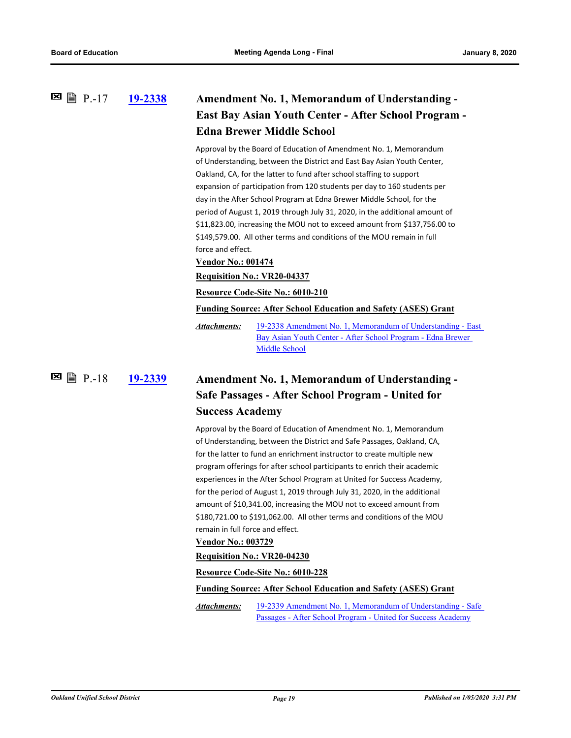#### **[19-2338](http://ousd.legistar.com/gateway.aspx?m=l&id=/matter.aspx?key=48250) Amendment No. 1, Memorandum of Understanding - East Bay Asian Youth Center - After School Program - Edna Brewer Middle School 図 P.-17**

Approval by the Board of Education of Amendment No. 1, Memorandum of Understanding, between the District and East Bay Asian Youth Center, Oakland, CA, for the latter to fund after school staffing to support expansion of participation from 120 students per day to 160 students per day in the After School Program at Edna Brewer Middle School, for the period of August 1, 2019 through July 31, 2020, in the additional amount of \$11,823.00, increasing the MOU not to exceed amount from \$137,756.00 to \$149,579.00. All other terms and conditions of the MOU remain in full force and effect.

#### **Vendor No.: 001474**

#### **Requisition No.: VR20-04337**

**Resource Code-Site No.: 6010-210**

**Funding Source: After School Education and Safety (ASES) Grant**

[19-2338 Amendment No. 1, Memorandum of Understanding - East](http://ousd.legistar.com/gateway.aspx?M=F&ID=93758.pdf)  Bay Asian Youth Center - After School Program - Edna Brewer Middle School *Attachments:*

**E** 말 P.-18

### **[19-2339](http://ousd.legistar.com/gateway.aspx?m=l&id=/matter.aspx?key=48251) Amendment No. 1, Memorandum of Understanding - Safe Passages - After School Program - United for Success Academy**

Approval by the Board of Education of Amendment No. 1, Memorandum of Understanding, between the District and Safe Passages, Oakland, CA, for the latter to fund an enrichment instructor to create multiple new program offerings for after school participants to enrich their academic experiences in the After School Program at United for Success Academy, for the period of August 1, 2019 through July 31, 2020, in the additional amount of \$10,341.00, increasing the MOU not to exceed amount from \$180,721.00 to \$191,062.00. All other terms and conditions of the MOU remain in full force and effect.

#### **Vendor No.: 003729**

**Requisition No.: VR20-04230**

**Resource Code-Site No.: 6010-228**

#### **Funding Source: After School Education and Safety (ASES) Grant**

[19-2339 Amendment No. 1, Memorandum of Understanding - Safe](http://ousd.legistar.com/gateway.aspx?M=F&ID=93759.pdf)  Passages - After School Program - United for Success Academy *Attachments:*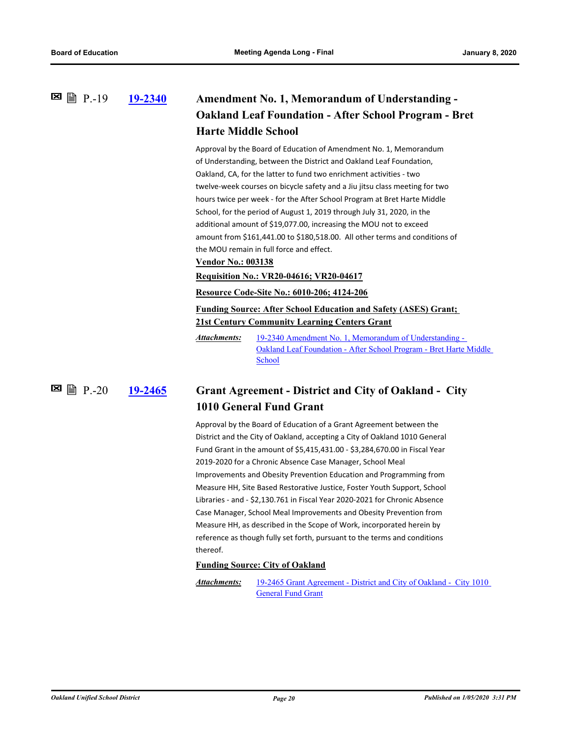**[19-2340](http://ousd.legistar.com/gateway.aspx?m=l&id=/matter.aspx?key=48252) Amendment No. 1, Memorandum of Understanding - Oakland Leaf Foundation - After School Program - Bret Harte Middle School 図 P.-19** 

> Approval by the Board of Education of Amendment No. 1, Memorandum of Understanding, between the District and Oakland Leaf Foundation, Oakland, CA, for the latter to fund two enrichment activities - two twelve-week courses on bicycle safety and a Jiu jitsu class meeting for two hours twice per week - for the After School Program at Bret Harte Middle School, for the period of August 1, 2019 through July 31, 2020, in the additional amount of \$19,077.00, increasing the MOU not to exceed amount from \$161,441.00 to \$180,518.00. All other terms and conditions of the MOU remain in full force and effect.

#### **Vendor No.: 003138**

**Requisition No.: VR20-04616; VR20-04617**

**Resource Code-Site No.: 6010-206; 4124-206**

**Funding Source: After School Education and Safety (ASES) Grant; 21st Century Community Learning Centers Grant**

19-2340 Amendment No. 1, Memorandum of Understanding - [Oakland Leaf Foundation - After School Program - Bret Harte Middle](http://ousd.legistar.com/gateway.aspx?M=F&ID=93760.pdf)  School *Attachments:*

**[19-2465](http://ousd.legistar.com/gateway.aspx?m=l&id=/matter.aspx?key=48375) Grant Agreement - District and City of Oakland - City 1010 General Fund Grant**  $\Xi$  을 P.-20

> Approval by the Board of Education of a Grant Agreement between the District and the City of Oakland, accepting a City of Oakland 1010 General Fund Grant in the amount of \$5,415,431.00 - \$3,284,670.00 in Fiscal Year 2019-2020 for a Chronic Absence Case Manager, School Meal Improvements and Obesity Prevention Education and Programming from Measure HH, Site Based Restorative Justice, Foster Youth Support, School Libraries - and - \$2,130.761 in Fiscal Year 2020-2021 for Chronic Absence Case Manager, School Meal Improvements and Obesity Prevention from Measure HH, as described in the Scope of Work, incorporated herein by reference as though fully set forth, pursuant to the terms and conditions thereof.

#### **Funding Source: City of Oakland**

[19-2465 Grant Agreement - District and City of Oakland - City 1010](http://ousd.legistar.com/gateway.aspx?M=F&ID=93762.pdf)  General Fund Grant *Attachments:*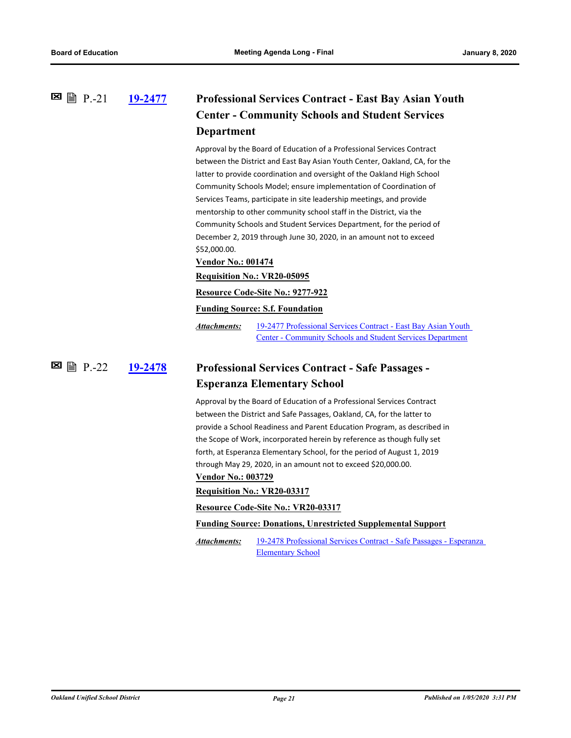#### **[19-2477](http://ousd.legistar.com/gateway.aspx?m=l&id=/matter.aspx?key=48387) Professional Services Contract - East Bay Asian Youth Center - Community Schools and Student Services Department 図 P.-21**

Approval by the Board of Education of a Professional Services Contract between the District and East Bay Asian Youth Center, Oakland, CA, for the latter to provide coordination and oversight of the Oakland High School Community Schools Model; ensure implementation of Coordination of Services Teams, participate in site leadership meetings, and provide mentorship to other community school staff in the District, via the Community Schools and Student Services Department, for the period of December 2, 2019 through June 30, 2020, in an amount not to exceed \$52,000.00.

#### **Vendor No.: 001474**

**Requisition No.: VR20-05095**

#### **Resource Code-Site No.: 9277-922**

#### **Funding Source: S.f. Foundation**

[19-2477 Professional Services Contract - East Bay Asian Youth](http://ousd.legistar.com/gateway.aspx?M=F&ID=93728.pdf)  Center - Community Schools and Student Services Department *Attachments:*

**[19-2478](http://ousd.legistar.com/gateway.aspx?m=l&id=/matter.aspx?key=48388) Professional Services Contract - Safe Passages - Esperanza Elementary School**  $\Xi$  A  $P.22$ 

> Approval by the Board of Education of a Professional Services Contract between the District and Safe Passages, Oakland, CA, for the latter to provide a School Readiness and Parent Education Program, as described in the Scope of Work, incorporated herein by reference as though fully set forth, at Esperanza Elementary School, for the period of August 1, 2019 through May 29, 2020, in an amount not to exceed \$20,000.00.

#### **Vendor No.: 003729**

#### **Requisition No.: VR20-03317**

#### **Resource Code-Site No.: VR20-03317**

#### **Funding Source: Donations, Unrestricted Supplemental Support**

[19-2478 Professional Services Contract - Safe Passages - Esperanza](http://ousd.legistar.com/gateway.aspx?M=F&ID=93729.pdf)  Elementary School *Attachments:*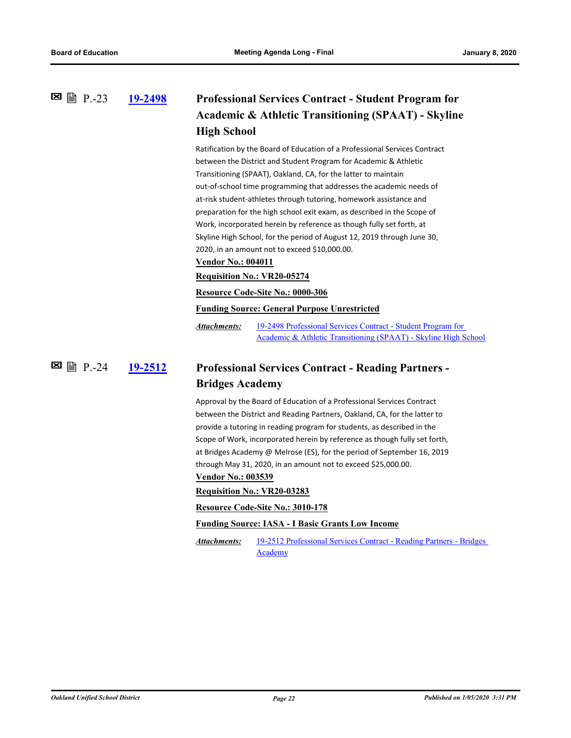#### **[19-2498](http://ousd.legistar.com/gateway.aspx?m=l&id=/matter.aspx?key=48408) Professional Services Contract - Student Program for Academic & Athletic Transitioning (SPAAT) - Skyline High School 图** 图 P.-23

Ratification by the Board of Education of a Professional Services Contract between the District and Student Program for Academic & Athletic Transitioning (SPAAT), Oakland, CA, for the latter to maintain out-of-school time programming that addresses the academic needs of at-risk student-athletes through tutoring, homework assistance and preparation for the high school exit exam, as described in the Scope of Work, incorporated herein by reference as though fully set forth, at Skyline High School, for the period of August 12, 2019 through June 30, 2020, in an amount not to exceed \$10,000.00.

#### **Vendor No.: 004011**

**Requisition No.: VR20-05274**

**Resource Code-Site No.: 0000-306**

**Funding Source: General Purpose Unrestricted**

19-2498 Professional Services Contract - Student Program for [Academic & Athletic Transitioning \(SPAAT\) - Skyline High School](http://ousd.legistar.com/gateway.aspx?M=F&ID=93811.pdf) *Attachments:*

#### **[19-2512](http://ousd.legistar.com/gateway.aspx?m=l&id=/matter.aspx?key=48422) Professional Services Contract - Reading Partners - Bridges Academy 図 P.-24**

Approval by the Board of Education of a Professional Services Contract between the District and Reading Partners, Oakland, CA, for the latter to provide a tutoring in reading program for students, as described in the Scope of Work, incorporated herein by reference as though fully set forth, at Bridges Academy @ Melrose (ES), for the period of September 16, 2019 through May 31, 2020, in an amount not to exceed \$25,000.00.

#### **Vendor No.: 003539**

**Requisition No.: VR20-03283**

**Resource Code-Site No.: 3010-178**

#### **Funding Source: IASA - I Basic Grants Low Income**

[19-2512 Professional Services Contract - Reading Partners - Bridges](http://ousd.legistar.com/gateway.aspx?M=F&ID=93773.pdf)  **Academy** *Attachments:*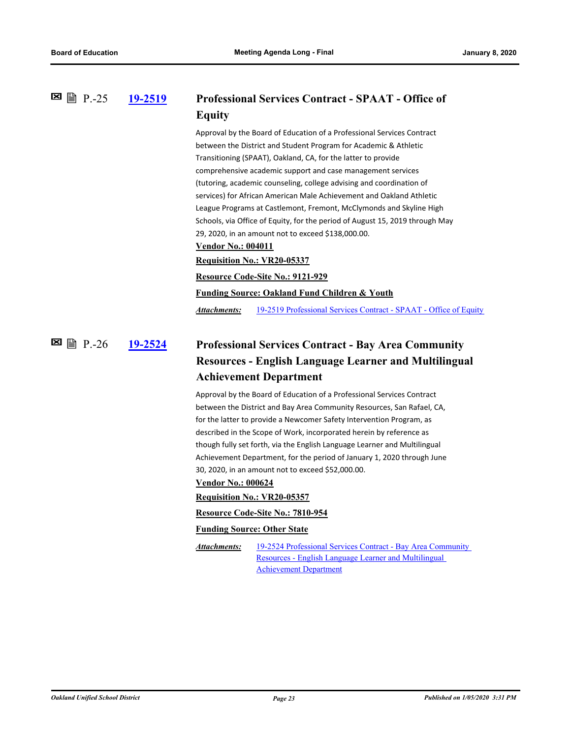#### **[19-2519](http://ousd.legistar.com/gateway.aspx?m=l&id=/matter.aspx?key=48429) Professional Services Contract - SPAAT - Office of Equity 图** 图 P.-25

Approval by the Board of Education of a Professional Services Contract between the District and Student Program for Academic & Athletic Transitioning (SPAAT), Oakland, CA, for the latter to provide comprehensive academic support and case management services (tutoring, academic counseling, college advising and coordination of services) for African American Male Achievement and Oakland Athletic League Programs at Castlemont, Fremont, McClymonds and Skyline High Schools, via Office of Equity, for the period of August 15, 2019 through May 29, 2020, in an amount not to exceed \$138,000.00. **Vendor No.: 004011 Requisition No.: VR20-05337 Resource Code-Site No.: 9121-929 Funding Source: Oakland Fund Children & Youth**

*Attachments:* [19-2519 Professional Services Contract - SPAAT - Office of Equity](http://ousd.legistar.com/gateway.aspx?M=F&ID=93774.pdf)

#### **[19-2524](http://ousd.legistar.com/gateway.aspx?m=l&id=/matter.aspx?key=48434) Professional Services Contract - Bay Area Community Resources - English Language Learner and Multilingual Achievement Department ⊠ ■** P.-26

Approval by the Board of Education of a Professional Services Contract between the District and Bay Area Community Resources, San Rafael, CA, for the latter to provide a Newcomer Safety Intervention Program, as described in the Scope of Work, incorporated herein by reference as though fully set forth, via the English Language Learner and Multilingual Achievement Department, for the period of January 1, 2020 through June 30, 2020, in an amount not to exceed \$52,000.00.

#### **Vendor No.: 000624**

#### **Requisition No.: VR20-05357**

#### **Resource Code-Site No.: 7810-954**

#### **Funding Source: Other State**

*Attachments:*

[19-2524 Professional Services Contract - Bay Area Community](http://ousd.legistar.com/gateway.aspx?M=F&ID=93775.pdf)  Resources - English Language Learner and Multilingual Achievement Department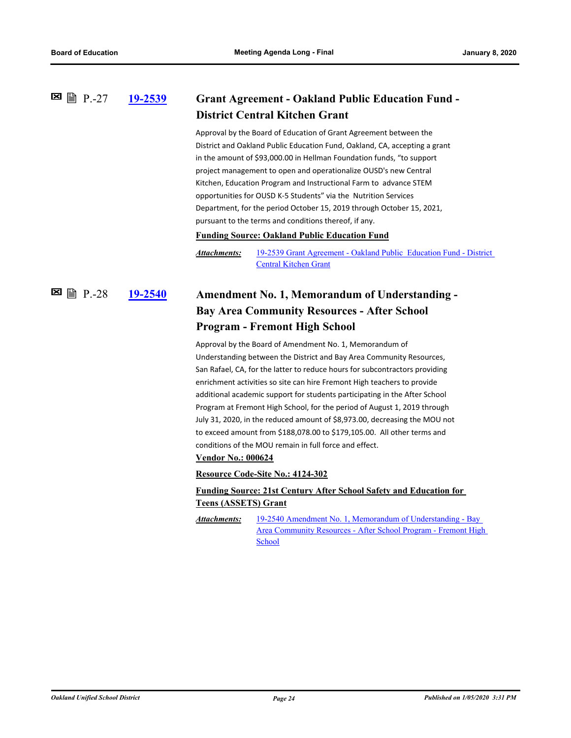#### **[19-2539](http://ousd.legistar.com/gateway.aspx?m=l&id=/matter.aspx?key=48449) Grant Agreement - Oakland Public Education Fund - District Central Kitchen Grant 図 P.-27**

Approval by the Board of Education of Grant Agreement between the District and Oakland Public Education Fund, Oakland, CA, accepting a grant in the amount of \$93,000.00 in Hellman Foundation funds, "to support project management to open and operationalize OUSD's new Central Kitchen, Education Program and Instructional Farm to advance STEM opportunities for OUSD K-5 Students" via the Nutrition Services Department, for the period October 15, 2019 through October 15, 2021, pursuant to the terms and conditions thereof, if any.

**Funding Source: Oakland Public Education Fund**

[19-2539 Grant Agreement - Oakland Public Education Fund - District](http://ousd.legistar.com/gateway.aspx?M=F&ID=93764.pdf)  Central Kitchen Grant *Attachments:*

#### **[19-2540](http://ousd.legistar.com/gateway.aspx?m=l&id=/matter.aspx?key=48450) Amendment No. 1, Memorandum of Understanding - Bay Area Community Resources - After School Program - Fremont High School** P.-28

Approval by the Board of Amendment No. 1, Memorandum of Understanding between the District and Bay Area Community Resources, San Rafael, CA, for the latter to reduce hours for subcontractors providing enrichment activities so site can hire Fremont High teachers to provide additional academic support for students participating in the After School Program at Fremont High School, for the period of August 1, 2019 through July 31, 2020, in the reduced amount of \$8,973.00, decreasing the MOU not to exceed amount from \$188,078.00 to \$179,105.00. All other terms and conditions of the MOU remain in full force and effect.

#### **Vendor No.: 000624**

**Resource Code-Site No.: 4124-302**

#### **Funding Source: 21st Century After School Safety and Education for Teens (ASSETS) Grant**

19-2540 Amendment No. 1, Memorandum of Understanding - Bay [Area Community Resources - After School Program - Fremont High](http://ousd.legistar.com/gateway.aspx?M=F&ID=93765.pdf)  School *Attachments:*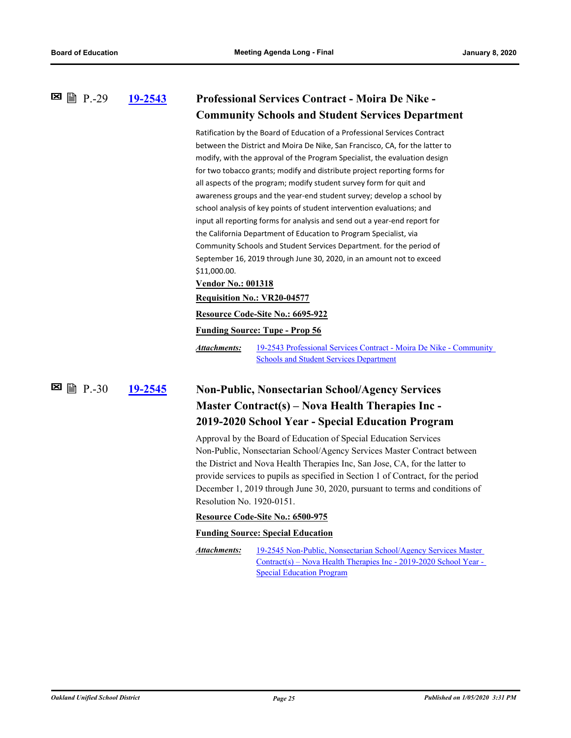#### **[19-2543](http://ousd.legistar.com/gateway.aspx?m=l&id=/matter.aspx?key=48453) Professional Services Contract - Moira De Nike - Community Schools and Student Services Department E** ■ P.-29

Ratification by the Board of Education of a Professional Services Contract between the District and Moira De Nike, San Francisco, CA, for the latter to modify, with the approval of the Program Specialist, the evaluation design for two tobacco grants; modify and distribute project reporting forms for all aspects of the program; modify student survey form for quit and awareness groups and the year-end student survey; develop a school by school analysis of key points of student intervention evaluations; and input all reporting forms for analysis and send out a year-end report for the California Department of Education to Program Specialist, via Community Schools and Student Services Department. for the period of September 16, 2019 through June 30, 2020, in an amount not to exceed \$11,000.00.

**Vendor No.: 001318**

#### **Requisition No.: VR20-04577**

#### **Resource Code-Site No.: 6695-922**

**Funding Source: Tupe - Prop 56**

[19-2543 Professional Services Contract - Moira De Nike - Community](http://ousd.legistar.com/gateway.aspx?M=F&ID=93776.pdf)  Schools and Student Services Department *Attachments:*

#### **[19-2545](http://ousd.legistar.com/gateway.aspx?m=l&id=/matter.aspx?key=48455) Non-Public, Nonsectarian School/Agency Services Master Contract(s) – Nova Health Therapies Inc - 2019-2020 School Year - Special Education Program**  $\boxtimes$  A  $P.-30$

Approval by the Board of Education of Special Education Services Non-Public, Nonsectarian School/Agency Services Master Contract between the District and Nova Health Therapies Inc, San Jose, CA, for the latter to provide services to pupils as specified in Section 1 of Contract, for the period December 1, 2019 through June 30, 2020, pursuant to terms and conditions of Resolution No. 1920-0151.

#### **Resource Code-Site No.: 6500-975**

#### **Funding Source: Special Education**

19-2545 Non-Public, Nonsectarian School/Agency Services Master [Contract\(s\) – Nova Health Therapies Inc - 2019-2020 School Year -](http://ousd.legistar.com/gateway.aspx?M=F&ID=93771.pdf)  Special Education Program *Attachments:*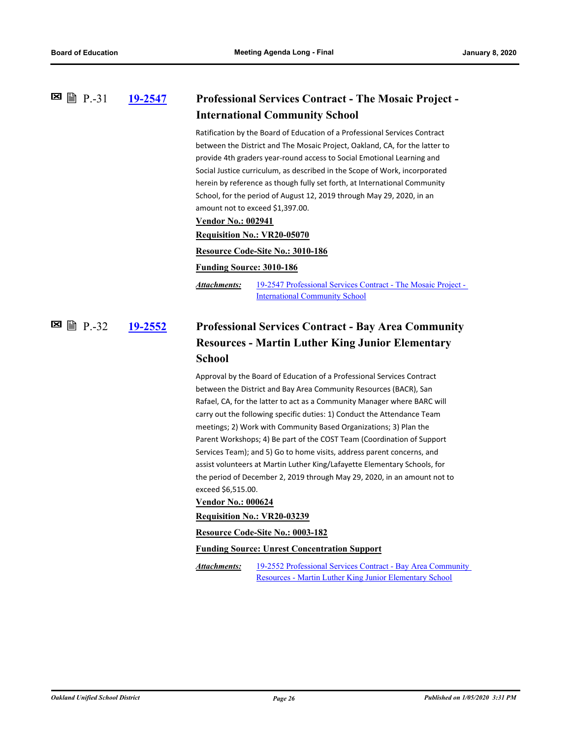#### **[19-2547](http://ousd.legistar.com/gateway.aspx?m=l&id=/matter.aspx?key=48457) Professional Services Contract - The Mosaic Project - International Community School 图** 图 P.-31

Ratification by the Board of Education of a Professional Services Contract between the District and The Mosaic Project, Oakland, CA, for the latter to provide 4th graders year-round access to Social Emotional Learning and Social Justice curriculum, as described in the Scope of Work, incorporated herein by reference as though fully set forth, at International Community School, for the period of August 12, 2019 through May 29, 2020, in an amount not to exceed \$1,397.00.

#### **Vendor No.: 002941**

#### **Requisition No.: VR20-05070**

#### **Resource Code-Site No.: 3010-186**

#### **Funding Source: 3010-186**

[19-2547 Professional Services Contract - The Mosaic Project -](http://ousd.legistar.com/gateway.aspx?M=F&ID=93777.pdf)  International Community School *Attachments:*

#### **[19-2552](http://ousd.legistar.com/gateway.aspx?m=l&id=/matter.aspx?key=48458) Professional Services Contract - Bay Area Community Resources - Martin Luther King Junior Elementary School** P.-32

Approval by the Board of Education of a Professional Services Contract between the District and Bay Area Community Resources (BACR), San Rafael, CA, for the latter to act as a Community Manager where BARC will carry out the following specific duties: 1) Conduct the Attendance Team meetings; 2) Work with Community Based Organizations; 3) Plan the Parent Workshops; 4) Be part of the COST Team (Coordination of Support Services Team); and 5) Go to home visits, address parent concerns, and assist volunteers at Martin Luther King/Lafayette Elementary Schools, for the period of December 2, 2019 through May 29, 2020, in an amount not to exceed \$6,515.00.

#### **Vendor No.: 000624**

#### **Requisition No.: VR20-03239**

**Resource Code-Site No.: 0003-182**

**Funding Source: Unrest Concentration Support**

[19-2552 Professional Services Contract - Bay Area Community](http://ousd.legistar.com/gateway.aspx?M=F&ID=93812.pdf)  Resources - Martin Luther King Junior Elementary School *Attachments:*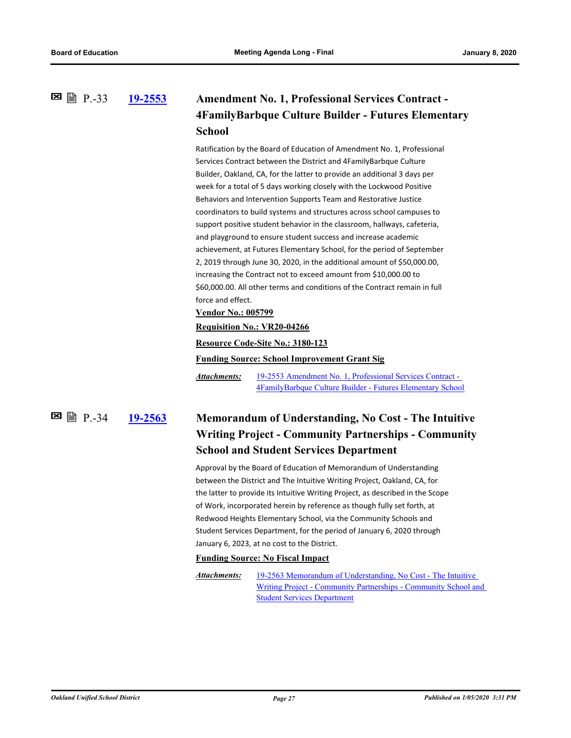#### **[19-2553](http://ousd.legistar.com/gateway.aspx?m=l&id=/matter.aspx?key=48459) Amendment No. 1, Professional Services Contract - 4FamilyBarbque Culture Builder - Futures Elementary School 图** 图 P.-33

Ratification by the Board of Education of Amendment No. 1, Professional Services Contract between the District and 4FamilyBarbque Culture Builder, Oakland, CA, for the latter to provide an additional 3 days per week for a total of 5 days working closely with the Lockwood Positive Behaviors and Intervention Supports Team and Restorative Justice coordinators to build systems and structures across school campuses to support positive student behavior in the classroom, hallways, cafeteria, and playground to ensure student success and increase academic achievement, at Futures Elementary School, for the period of September 2, 2019 through June 30, 2020, in the additional amount of \$50,000.00, increasing the Contract not to exceed amount from \$10,000.00 to \$60,000.00. All other terms and conditions of the Contract remain in full force and effect.

#### **Vendor No.: 005799**

#### **Requisition No.: VR20-04266**

**Resource Code-Site No.: 3180-123**

**Funding Source: School Improvement Grant Sig**

19-2553 Amendment No. 1, Professional Services Contract - [4FamilyBarbque Culture Builder - Futures Elementary School](http://ousd.legistar.com/gateway.aspx?M=F&ID=93779.pdf) *Attachments:*

**图** 图 P.-34

### **[19-2563](http://ousd.legistar.com/gateway.aspx?m=l&id=/matter.aspx?key=48469) Memorandum of Understanding, No Cost - The Intuitive Writing Project - Community Partnerships - Community School and Student Services Department**

Approval by the Board of Education of Memorandum of Understanding between the District and The Intuitive Writing Project, Oakland, CA, for the latter to provide its Intuitive Writing Project, as described in the Scope of Work, incorporated herein by reference as though fully set forth, at Redwood Heights Elementary School, via the Community Schools and Student Services Department, for the period of January 6, 2020 through January 6, 2023, at no cost to the District.

#### **Funding Source: No Fiscal Impact**

19-2563 Memorandum of Understanding, No Cost - The Intuitive [Writing Project - Community Partnerships - Community School and](http://ousd.legistar.com/gateway.aspx?M=F&ID=93766.pdf)  Student Services Department *Attachments:*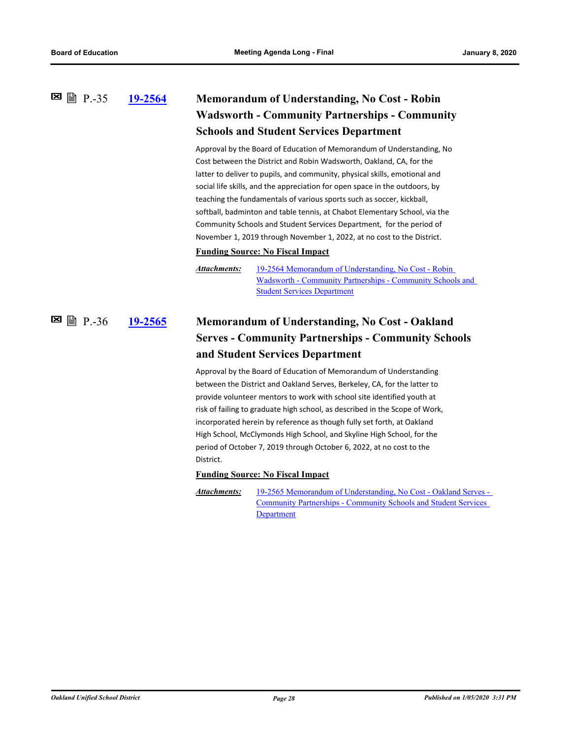#### **[19-2564](http://ousd.legistar.com/gateway.aspx?m=l&id=/matter.aspx?key=48470) Memorandum of Understanding, No Cost - Robin Wadsworth - Community Partnerships - Community Schools and Student Services Department 图** 图 P.-35

Approval by the Board of Education of Memorandum of Understanding, No Cost between the District and Robin Wadsworth, Oakland, CA, for the latter to deliver to pupils, and community, physical skills, emotional and social life skills, and the appreciation for open space in the outdoors, by teaching the fundamentals of various sports such as soccer, kickball, softball, badminton and table tennis, at Chabot Elementary School, via the Community Schools and Student Services Department, for the period of November 1, 2019 through November 1, 2022, at no cost to the District.

#### **Funding Source: No Fiscal Impact**

19-2564 Memorandum of Understanding, No Cost - Robin [Wadsworth - Community Partnerships - Community Schools and](http://ousd.legistar.com/gateway.aspx?M=F&ID=93767.pdf)  Student Services Department *Attachments:*

#### **[19-2565](http://ousd.legistar.com/gateway.aspx?m=l&id=/matter.aspx?key=48471) Memorandum of Understanding, No Cost - Oakland Serves - Community Partnerships - Community Schools and Student Services Department** P.-36

Approval by the Board of Education of Memorandum of Understanding between the District and Oakland Serves, Berkeley, CA, for the latter to provide volunteer mentors to work with school site identified youth at risk of failing to graduate high school, as described in the Scope of Work, incorporated herein by reference as though fully set forth, at Oakland High School, McClymonds High School, and Skyline High School, for the period of October 7, 2019 through October 6, 2022, at no cost to the District.

#### **Funding Source: No Fiscal Impact**

[19-2565 Memorandum of Understanding, No Cost - Oakland Serves -](http://ousd.legistar.com/gateway.aspx?M=F&ID=93768.pdf)  Community Partnerships - Community Schools and Student Services **Department** *Attachments:*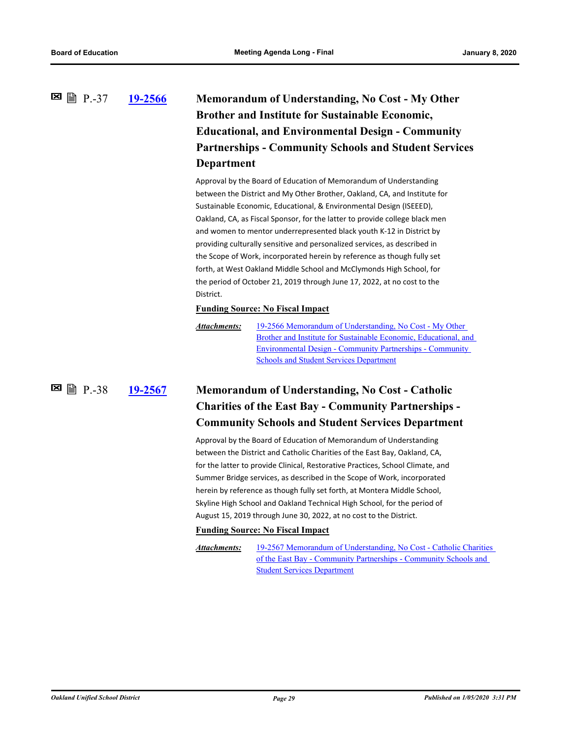### **[19-2566](http://ousd.legistar.com/gateway.aspx?m=l&id=/matter.aspx?key=48472) Memorandum of Understanding, No Cost - My Other Brother and Institute for Sustainable Economic, Educational, and Environmental Design - Community Partnerships - Community Schools and Student Services Department 图** 图 P.-37

Approval by the Board of Education of Memorandum of Understanding between the District and My Other Brother, Oakland, CA, and Institute for Sustainable Economic, Educational, & Environmental Design (ISEEED), Oakland, CA, as Fiscal Sponsor, for the latter to provide college black men and women to mentor underrepresented black youth K-12 in District by providing culturally sensitive and personalized services, as described in the Scope of Work, incorporated herein by reference as though fully set forth, at West Oakland Middle School and McClymonds High School, for the period of October 21, 2019 through June 17, 2022, at no cost to the District.

#### **Funding Source: No Fiscal Impact**

```
19-2566 Memorandum of Understanding, No Cost - My Other 
                Brother and Institute for Sustainable Economic, Educational, and 
                Environmental Design - Community Partnerships - Community 
                Schools and Student Services Department
Attachments:
```
**[19-2567](http://ousd.legistar.com/gateway.aspx?m=l&id=/matter.aspx?key=48473) Memorandum of Understanding, No Cost - Catholic Charities of the East Bay - Community Partnerships - Community Schools and Student Services Department E** 图 P.-38

> Approval by the Board of Education of Memorandum of Understanding between the District and Catholic Charities of the East Bay, Oakland, CA, for the latter to provide Clinical, Restorative Practices, School Climate, and Summer Bridge services, as described in the Scope of Work, incorporated herein by reference as though fully set forth, at Montera Middle School, Skyline High School and Oakland Technical High School, for the period of August 15, 2019 through June 30, 2022, at no cost to the District.

#### **Funding Source: No Fiscal Impact**

*Attachments:*

[19-2567 Memorandum of Understanding, No Cost - Catholic Charities](http://ousd.legistar.com/gateway.aspx?M=F&ID=93769.pdf)  of the East Bay - Community Partnerships - Community Schools and Student Services Department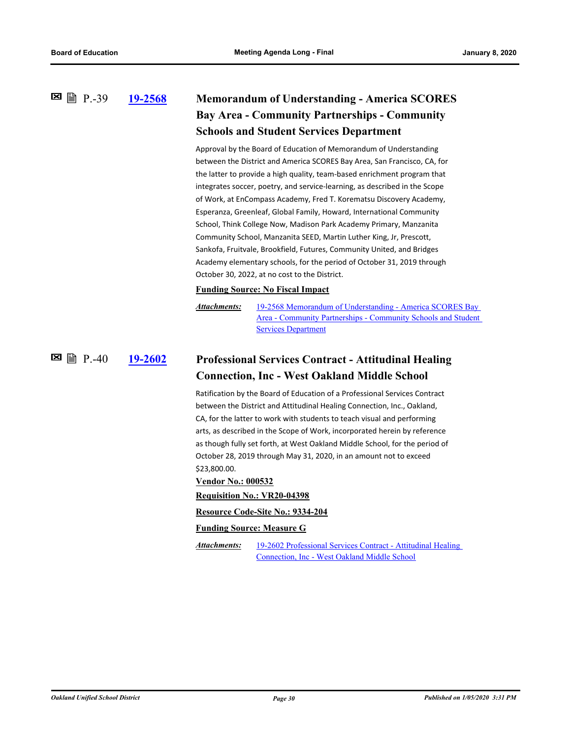#### **[19-2568](http://ousd.legistar.com/gateway.aspx?m=l&id=/matter.aspx?key=48474) Memorandum of Understanding - America SCORES Bay Area - Community Partnerships - Community Schools and Student Services Department E** 图 P.-39

Approval by the Board of Education of Memorandum of Understanding between the District and America SCORES Bay Area, San Francisco, CA, for the latter to provide a high quality, team-based enrichment program that integrates soccer, poetry, and service-learning, as described in the Scope of Work, at EnCompass Academy, Fred T. Korematsu Discovery Academy, Esperanza, Greenleaf, Global Family, Howard, International Community School, Think College Now, Madison Park Academy Primary, Manzanita Community School, Manzanita SEED, Martin Luther King, Jr, Prescott, Sankofa, Fruitvale, Brookfield, Futures, Community United, and Bridges Academy elementary schools, for the period of October 31, 2019 through October 30, 2022, at no cost to the District.

#### **Funding Source: No Fiscal Impact**

19-2568 Memorandum of Understanding - America SCORES Bay [Area - Community Partnerships - Community Schools and Student](http://ousd.legistar.com/gateway.aspx?M=F&ID=93770.pdf)  Services Department *Attachments:*

#### **[19-2602](http://ousd.legistar.com/gateway.aspx?m=l&id=/matter.aspx?key=48508) Professional Services Contract - Attitudinal Healing Connection, Inc - West Oakland Middle School**  $\boxtimes$  A  $P.40$

Ratification by the Board of Education of a Professional Services Contract between the District and Attitudinal Healing Connection, Inc., Oakland, CA, for the latter to work with students to teach visual and performing arts, as described in the Scope of Work, incorporated herein by reference as though fully set forth, at West Oakland Middle School, for the period of October 28, 2019 through May 31, 2020, in an amount not to exceed \$23,800.00.

#### **Vendor No.: 000532**

#### **Requisition No.: VR20-04398**

#### **Resource Code-Site No.: 9334-204**

#### **Funding Source: Measure G**

*Attachments:*

[19-2602 Professional Services Contract - Attitudinal Healing](http://ousd.legistar.com/gateway.aspx?M=F&ID=93780.pdf)  Connection, Inc - West Oakland Middle School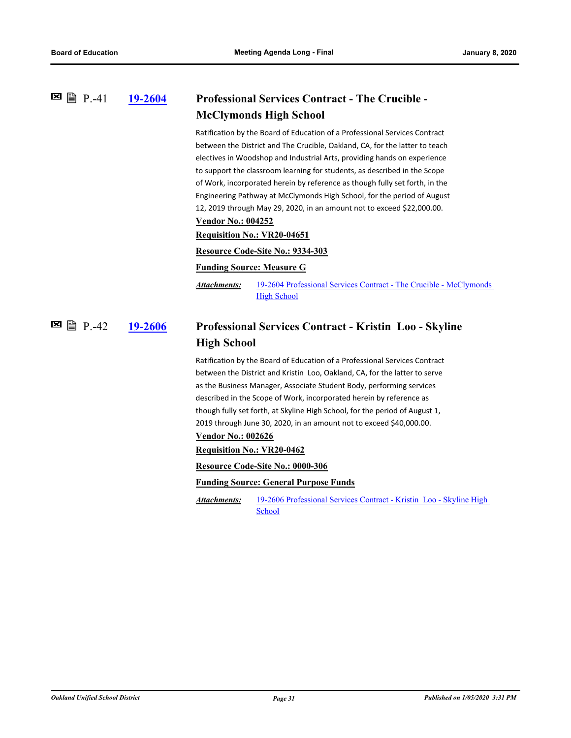#### **[19-2604](http://ousd.legistar.com/gateway.aspx?m=l&id=/matter.aspx?key=48510) Professional Services Contract - The Crucible - McClymonds High School 図 P.-41**

Ratification by the Board of Education of a Professional Services Contract between the District and The Crucible, Oakland, CA, for the latter to teach electives in Woodshop and Industrial Arts, providing hands on experience to support the classroom learning for students, as described in the Scope of Work, incorporated herein by reference as though fully set forth, in the Engineering Pathway at McClymonds High School, for the period of August 12, 2019 through May 29, 2020, in an amount not to exceed \$22,000.00.

### **Vendor No.: 004252**

**Requisition No.: VR20-04651**

**Resource Code-Site No.: 9334-303**

#### **Funding Source: Measure G**

[19-2604 Professional Services Contract - The Crucible - McClymonds](http://ousd.legistar.com/gateway.aspx?M=F&ID=93781.pdf)  **High School** *Attachments:*

#### **[19-2606](http://ousd.legistar.com/gateway.aspx?m=l&id=/matter.aspx?key=48512) Professional Services Contract - Kristin Loo - Skyline High School E** ■ P.-42

Ratification by the Board of Education of a Professional Services Contract between the District and Kristin Loo, Oakland, CA, for the latter to serve as the Business Manager, Associate Student Body, performing services described in the Scope of Work, incorporated herein by reference as though fully set forth, at Skyline High School, for the period of August 1, 2019 through June 30, 2020, in an amount not to exceed \$40,000.00.

### **Vendor No.: 002626**

**Requisition No.: VR20-0462**

**Resource Code-Site No.: 0000-306**

**Funding Source: General Purpose Funds**

[19-2606 Professional Services Contract - Kristin Loo - Skyline High](http://ousd.legistar.com/gateway.aspx?M=F&ID=93782.pdf)  School *Attachments:*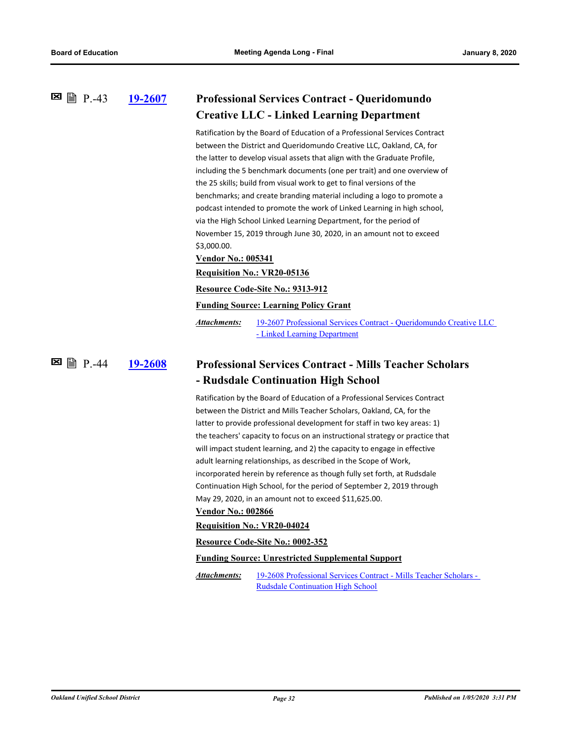#### **[19-2607](http://ousd.legistar.com/gateway.aspx?m=l&id=/matter.aspx?key=48513) Professional Services Contract - Queridomundo Creative LLC - Linked Learning Department 图** 图 P.-43

Ratification by the Board of Education of a Professional Services Contract between the District and Queridomundo Creative LLC, Oakland, CA, for the latter to develop visual assets that align with the Graduate Profile, including the 5 benchmark documents (one per trait) and one overview of the 25 skills; build from visual work to get to final versions of the benchmarks; and create branding material including a logo to promote a podcast intended to promote the work of Linked Learning in high school, via the High School Linked Learning Department, for the period of November 15, 2019 through June 30, 2020, in an amount not to exceed \$3,000.00.

**Vendor No.: 005341**

#### **Requisition No.: VR20-05136**

**Resource Code-Site No.: 9313-912**

**Funding Source: Learning Policy Grant**

[19-2607 Professional Services Contract - Queridomundo Creative LLC](http://ousd.legistar.com/gateway.aspx?M=F&ID=93772.pdf)  - Linked Learning Department *Attachments:*

#### **[19-2608](http://ousd.legistar.com/gateway.aspx?m=l&id=/matter.aspx?key=48514) Professional Services Contract - Mills Teacher Scholars - Rudsdale Continuation High School E** A P.-44

Ratification by the Board of Education of a Professional Services Contract between the District and Mills Teacher Scholars, Oakland, CA, for the latter to provide professional development for staff in two key areas: 1) the teachers' capacity to focus on an instructional strategy or practice that will impact student learning, and 2) the capacity to engage in effective adult learning relationships, as described in the Scope of Work, incorporated herein by reference as though fully set forth, at Rudsdale Continuation High School, for the period of September 2, 2019 through May 29, 2020, in an amount not to exceed \$11,625.00.

### **Vendor No.: 002866**

**Requisition No.: VR20-04024**

**Resource Code-Site No.: 0002-352**

#### **Funding Source: Unrestricted Supplemental Support**

[19-2608 Professional Services Contract - Mills Teacher Scholars -](http://ousd.legistar.com/gateway.aspx?M=F&ID=93783.pdf)  Rudsdale Continuation High School *Attachments:*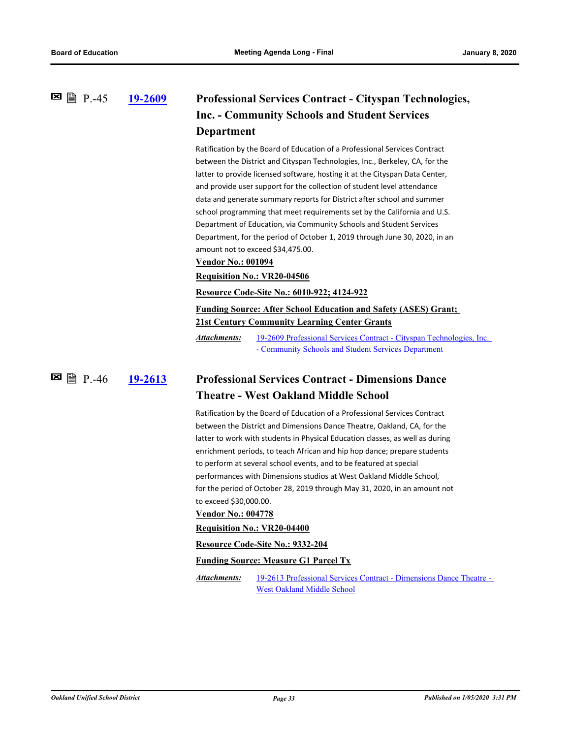#### **[19-2609](http://ousd.legistar.com/gateway.aspx?m=l&id=/matter.aspx?key=48515) Professional Services Contract - Cityspan Technologies, Inc. - Community Schools and Student Services Department 图** 图 P.-45

Ratification by the Board of Education of a Professional Services Contract between the District and Cityspan Technologies, Inc., Berkeley, CA, for the latter to provide licensed software, hosting it at the Cityspan Data Center, and provide user support for the collection of student level attendance data and generate summary reports for District after school and summer school programming that meet requirements set by the California and U.S. Department of Education, via Community Schools and Student Services Department, for the period of October 1, 2019 through June 30, 2020, in an amount not to exceed \$34,475.00.

#### **Vendor No.: 001094**

**Requisition No.: VR20-04506**

**Resource Code-Site No.: 6010-922; 4124-922**

#### **Funding Source: After School Education and Safety (ASES) Grant; 21st Century Community Learning Center Grants**

[19-2609 Professional Services Contract - Cityspan Technologies, Inc.](http://ousd.legistar.com/gateway.aspx?M=F&ID=93784.pdf)  - Community Schools and Student Services Department *Attachments:*

 $\boxtimes$   $\cong$   $\cong$   $P. -46$ 

### **[19-2613](http://ousd.legistar.com/gateway.aspx?m=l&id=/matter.aspx?key=48519) Professional Services Contract - Dimensions Dance Theatre - West Oakland Middle School**

Ratification by the Board of Education of a Professional Services Contract between the District and Dimensions Dance Theatre, Oakland, CA, for the latter to work with students in Physical Education classes, as well as during enrichment periods, to teach African and hip hop dance; prepare students to perform at several school events, and to be featured at special performances with Dimensions studios at West Oakland Middle School, for the period of October 28, 2019 through May 31, 2020, in an amount not to exceed \$30,000.00.

#### **Vendor No.: 004778**

#### **Requisition No.: VR20-04400**

**Resource Code-Site No.: 9332-204**

#### **Funding Source: Measure G1 Parcel Tx**

[19-2613 Professional Services Contract - Dimensions Dance Theatre -](http://ousd.legistar.com/gateway.aspx?M=F&ID=93785.pdf)  West Oakland Middle School *Attachments:*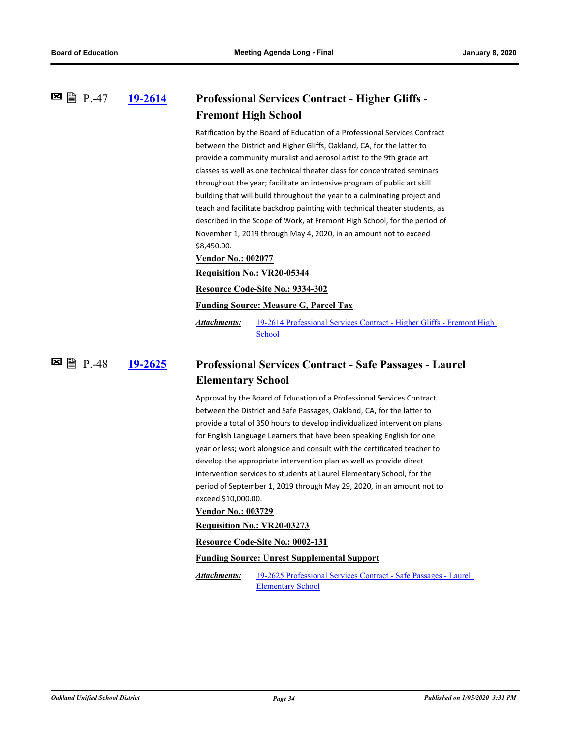#### **[19-2614](http://ousd.legistar.com/gateway.aspx?m=l&id=/matter.aspx?key=48520) Professional Services Contract - Higher Gliffs - Fremont High School 図 P.-47**

Ratification by the Board of Education of a Professional Services Contract between the District and Higher Gliffs, Oakland, CA, for the latter to provide a community muralist and aerosol artist to the 9th grade art classes as well as one technical theater class for concentrated seminars throughout the year; facilitate an intensive program of public art skill building that will build throughout the year to a culminating project and teach and facilitate backdrop painting with technical theater students, as described in the Scope of Work, at Fremont High School, for the period of November 1, 2019 through May 4, 2020, in an amount not to exceed \$8,450.00.

**Vendor No.: 002077**

**Requisition No.: VR20-05344**

**Resource Code-Site No.: 9334-302**

**Funding Source: Measure G, Parcel Tax**

[19-2614 Professional Services Contract - Higher Gliffs - Fremont High](http://ousd.legistar.com/gateway.aspx?M=F&ID=93786.pdf)  School *Attachments:*

**[19-2625](http://ousd.legistar.com/gateway.aspx?m=l&id=/matter.aspx?key=48531) Professional Services Contract - Safe Passages - Laurel Elementary School**  $\Xi$  A P.-48

> Approval by the Board of Education of a Professional Services Contract between the District and Safe Passages, Oakland, CA, for the latter to provide a total of 350 hours to develop individualized intervention plans for English Language Learners that have been speaking English for one year or less; work alongside and consult with the certificated teacher to develop the appropriate intervention plan as well as provide direct intervention services to students at Laurel Elementary School, for the period of September 1, 2019 through May 29, 2020, in an amount not to exceed \$10,000.00.

#### **Vendor No.: 003729**

**Requisition No.: VR20-03273**

**Resource Code-Site No.: 0002-131**

#### **Funding Source: Unrest Supplemental Support**

[19-2625 Professional Services Contract - Safe Passages - Laurel](http://ousd.legistar.com/gateway.aspx?M=F&ID=93787.pdf)  Elementary School *Attachments:*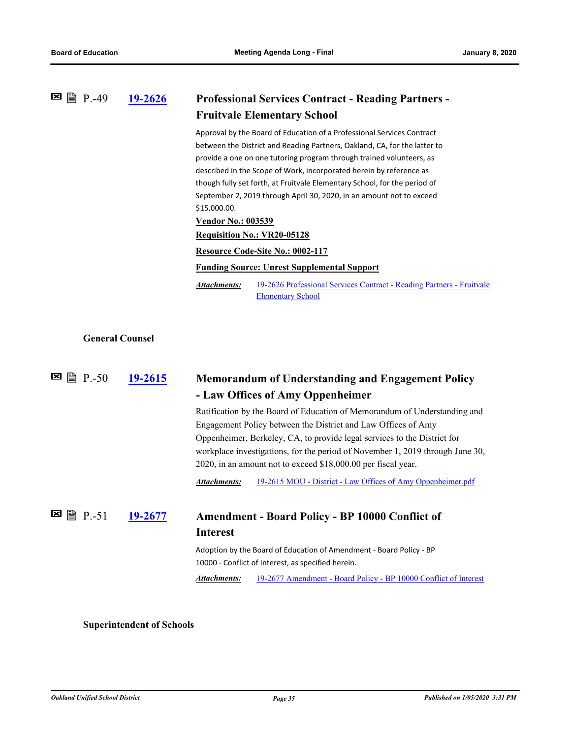| <b>Professional Services Contract - Reading Partners -</b>                                                                                                                                                                                                                                                                                                                                                                                              |  |
|---------------------------------------------------------------------------------------------------------------------------------------------------------------------------------------------------------------------------------------------------------------------------------------------------------------------------------------------------------------------------------------------------------------------------------------------------------|--|
| <b>Fruitvale Elementary School</b>                                                                                                                                                                                                                                                                                                                                                                                                                      |  |
| Approval by the Board of Education of a Professional Services Contract<br>between the District and Reading Partners, Oakland, CA, for the latter to<br>provide a one on one tutoring program through trained volunteers, as<br>described in the Scope of Work, incorporated herein by reference as<br>though fully set forth, at Fruitvale Elementary School, for the period of<br>September 2, 2019 through April 30, 2020, in an amount not to exceed |  |
|                                                                                                                                                                                                                                                                                                                                                                                                                                                         |  |
|                                                                                                                                                                                                                                                                                                                                                                                                                                                         |  |
| 19-2626 Professional Services Contract - Reading Partners - Fruitvale                                                                                                                                                                                                                                                                                                                                                                                   |  |
|                                                                                                                                                                                                                                                                                                                                                                                                                                                         |  |
|                                                                                                                                                                                                                                                                                                                                                                                                                                                         |  |
| <b>Memorandum of Understanding and Engagement Policy</b>                                                                                                                                                                                                                                                                                                                                                                                                |  |
| Ratification by the Board of Education of Memorandum of Understanding and<br>Engagement Policy between the District and Law Offices of Amy<br>Oppenheimer, Berkeley, CA, to provide legal services to the District for<br>workplace investigations, for the period of November 1, 2019 through June 30,<br>2020, in an amount not to exceed \$18,000.00 per fiscal year.                                                                                |  |
| 19-2615 MOU - District - Law Offices of Amy Oppenheimer.pdf                                                                                                                                                                                                                                                                                                                                                                                             |  |
| <b>Amendment - Board Policy - BP 10000 Conflict of</b><br>Adoption by the Board of Education of Amendment - Board Policy - BP<br>19-2677 Amendment - Board Policy - BP 10000 Conflict of Interest                                                                                                                                                                                                                                                       |  |
|                                                                                                                                                                                                                                                                                                                                                                                                                                                         |  |

### **Superintendent of Schools**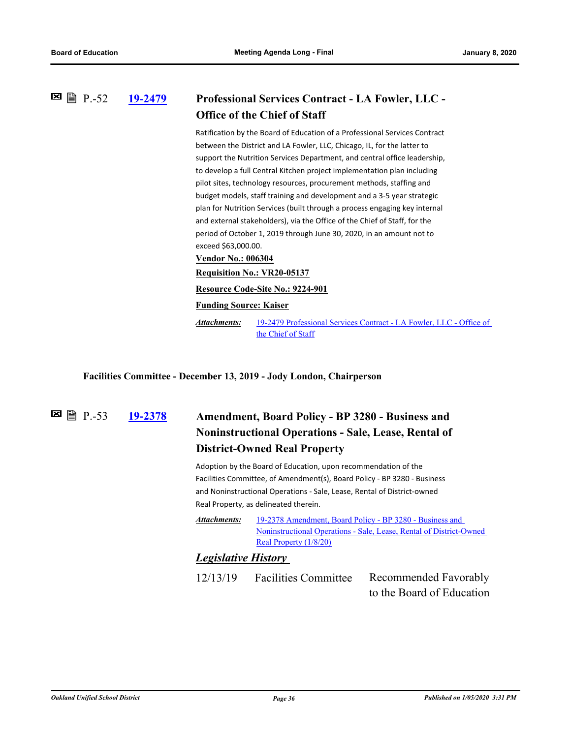#### **[19-2479](http://ousd.legistar.com/gateway.aspx?m=l&id=/matter.aspx?key=48389) Professional Services Contract - LA Fowler, LLC - Office of the Chief of Staff 図 P.-52**

Ratification by the Board of Education of a Professional Services Contract between the District and LA Fowler, LLC, Chicago, IL, for the latter to support the Nutrition Services Department, and central office leadership, to develop a full Central Kitchen project implementation plan including pilot sites, technology resources, procurement methods, staffing and budget models, staff training and development and a 3-5 year strategic plan for Nutrition Services (built through a process engaging key internal and external stakeholders), via the Office of the Chief of Staff, for the period of October 1, 2019 through June 30, 2020, in an amount not to exceed \$63,000.00. **Vendor No.: 006304**

**Requisition No.: VR20-05137**

**Resource Code-Site No.: 9224-901**

**Funding Source: Kaiser**

[19-2479 Professional Services Contract - LA Fowler, LLC - Office of](http://ousd.legistar.com/gateway.aspx?M=F&ID=93730.pdf)  the Chief of Staff *Attachments:*

**Facilities Committee - December 13, 2019 - Jody London, Chairperson**

**图 图 P.-53** 

### **[19-2378](http://ousd.legistar.com/gateway.aspx?m=l&id=/matter.aspx?key=48288) Amendment, Board Policy - BP 3280 - Business and Noninstructional Operations - Sale, Lease, Rental of District-Owned Real Property**

Adoption by the Board of Education, upon recommendation of the Facilities Committee, of Amendment(s), Board Policy - BP 3280 - Business and Noninstructional Operations - Sale, Lease, Rental of District-owned Real Property, as delineated therein.

19-2378 Amendment, Board Policy - BP 3280 - Business and [Noninstructional Operations - Sale, Lease, Rental of District-Owned](http://ousd.legistar.com/gateway.aspx?M=F&ID=93810.pdf)  Real Property (1/8/20) *Attachments:*

### *Legislative History*

12/13/19 Facilities Committee Recommended Favorably to the Board of Education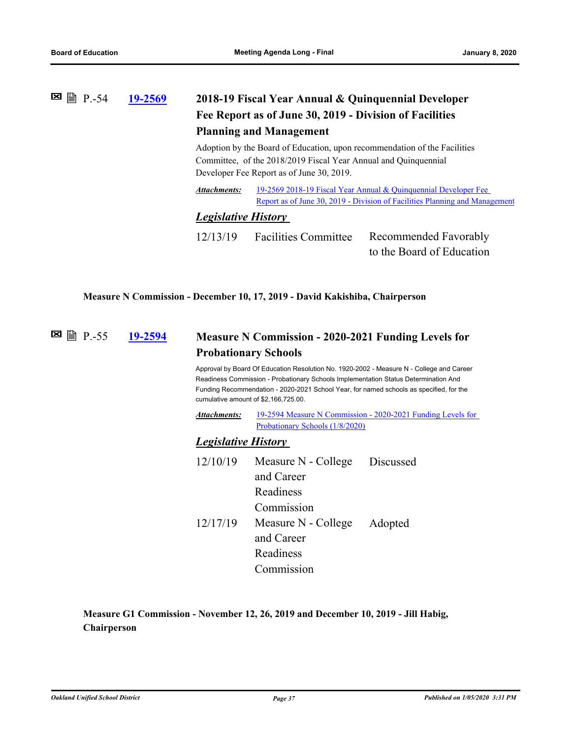## **⊠** ■ **P.-54 [19-2569](http://ousd.legistar.com/gateway.aspx?m=l&id=/matter.aspx?key=48475) 2018-19 Fiscal Year Annual & Quinquennial Developer Fee Report as of June 30, 2019 - Division of Facilities Planning and Management**

Adoption by the Board of Education, upon recommendation of the Facilities Committee, of the 2018/2019 Fiscal Year Annual and Quinquennial Developer Fee Report as of June 30, 2019.

[19-2569 2018-19 Fiscal Year Annual & Quinquennial Developer Fee](http://ousd.legistar.com/gateway.aspx?M=F&ID=93714.pdf) Report as of June 30, 2019 - Division of Facilities Planning and Management *Attachments:*

#### *Legislative History*

12/13/19 Facilities Committee Recommended Favorably to the Board of Education

#### **Measure N Commission - December 10, 17, 2019 - David Kakishiba, Chairperson**

#### **[19-2594](http://ousd.legistar.com/gateway.aspx?m=l&id=/matter.aspx?key=48500) Measure N Commission - 2020-2021 Funding Levels for Probationary Schools E** ■ P.-55

Approval by Board Of Education Resolution No. 1920-2002 - Measure N - College and Career Readiness Commission - Probationary Schools Implementation Status Determination And Funding Recommendation - 2020-2021 School Year, for named schools as specified, for the cumulative amount of \$2,166,725.00.

[19-2594 Measure N Commission - 2020-2021 Funding Levels for](http://ousd.legistar.com/gateway.aspx?M=F&ID=93872.pdf) Probationary Schools (1/8/2020) *Attachments:*

#### *Legislative History*

| 12/10/19 | Measure N - College Discussed |  |  |
|----------|-------------------------------|--|--|
|          | and Career                    |  |  |
|          | Readiness                     |  |  |
|          | Commission                    |  |  |
| 12/17/19 | Measure N - College Adopted   |  |  |
|          | and Career                    |  |  |
|          | Readiness                     |  |  |
|          | Commission                    |  |  |

### **Measure G1 Commission - November 12, 26, 2019 and December 10, 2019 - Jill Habig, Chairperson**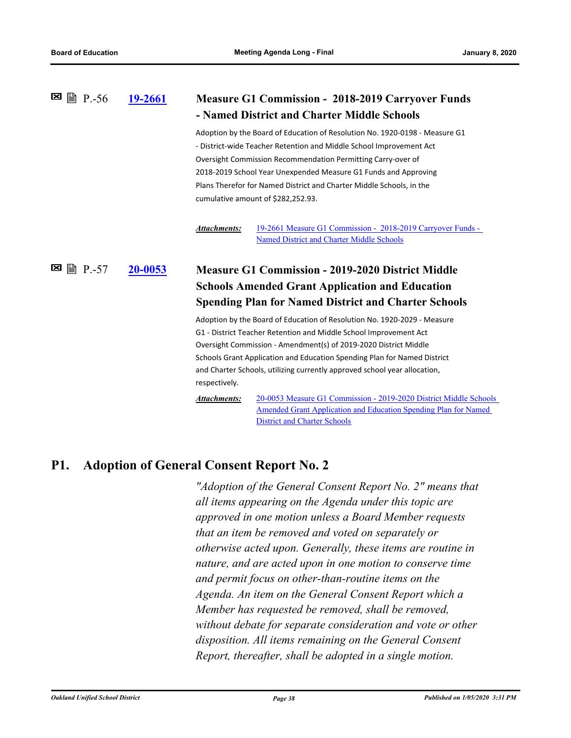| ■ P.-56<br>⊠        | 19-2661 | <b>Measure G1 Commission - 2018-2019 Carryover Funds</b>                                                                                                           |  |
|---------------------|---------|--------------------------------------------------------------------------------------------------------------------------------------------------------------------|--|
|                     |         | - Named District and Charter Middle Schools                                                                                                                        |  |
|                     |         | Adoption by the Board of Education of Resolution No. 1920-0198 - Measure G1                                                                                        |  |
|                     |         | - District-wide Teacher Retention and Middle School Improvement Act                                                                                                |  |
|                     |         | Oversight Commission Recommendation Permitting Carry-over of                                                                                                       |  |
|                     |         | 2018-2019 School Year Unexpended Measure G1 Funds and Approving                                                                                                    |  |
|                     |         | Plans Therefor for Named District and Charter Middle Schools, in the                                                                                               |  |
|                     |         | cumulative amount of \$282,252.93.                                                                                                                                 |  |
|                     |         | 19-2661 Measure G1 Commission - 2018-2019 Carryover Funds -<br><b>Attachments:</b><br>Named District and Charter Middle Schools                                    |  |
| ⊠<br>$\equiv$ P.-57 | 20-0053 | <b>Measure G1 Commission - 2019-2020 District Middle</b>                                                                                                           |  |
|                     |         | <b>Schools Amended Grant Application and Education</b>                                                                                                             |  |
|                     |         | <b>Spending Plan for Named District and Charter Schools</b>                                                                                                        |  |
|                     |         | Adoption by the Board of Education of Resolution No. 1920-2029 - Measure                                                                                           |  |
|                     |         | G1 - District Teacher Retention and Middle School Improvement Act                                                                                                  |  |
|                     |         | Oversight Commission - Amendment(s) of 2019-2020 District Middle                                                                                                   |  |
|                     |         | Schools Grant Application and Education Spending Plan for Named District                                                                                           |  |
|                     |         | and Charter Schools, utilizing currently approved school year allocation,                                                                                          |  |
|                     |         | respectively.                                                                                                                                                      |  |
|                     |         | <b>Attachments:</b><br>20-0053 Measure G1 Commission - 2019-2020 District Middle Schools<br><b>Amended Grant Application and Education Spending Plan for Named</b> |  |

## **P1. Adoption of General Consent Report No. 2**

*"Adoption of the General Consent Report No. 2" means that all items appearing on the Agenda under this topic are approved in one motion unless a Board Member requests that an item be removed and voted on separately or otherwise acted upon. Generally, these items are routine in nature, and are acted upon in one motion to conserve time and permit focus on other‑than‑routine items on the Agenda. An item on the General Consent Report which a Member has requested be removed, shall be removed, without debate for separate consideration and vote or other disposition. All items remaining on the General Consent Report, thereafter, shall be adopted in a single motion.*

District and Charter Schools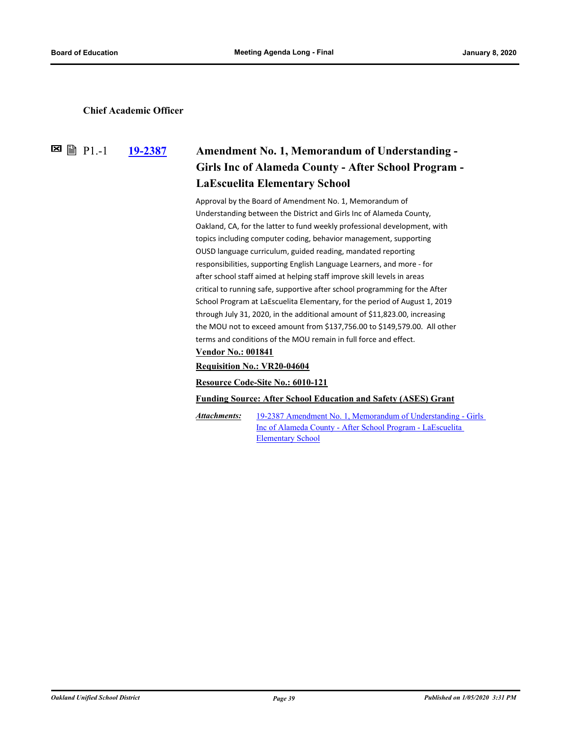#### **Chief Academic Officer**

**図 P1.-1** 

### **[19-2387](http://ousd.legistar.com/gateway.aspx?m=l&id=/matter.aspx?key=48297) Amendment No. 1, Memorandum of Understanding - Girls Inc of Alameda County - After School Program - LaEscuelita Elementary School**

Approval by the Board of Amendment No. 1, Memorandum of Understanding between the District and Girls Inc of Alameda County, Oakland, CA, for the latter to fund weekly professional development, with topics including computer coding, behavior management, supporting OUSD language curriculum, guided reading, mandated reporting responsibilities, supporting English Language Learners, and more - for after school staff aimed at helping staff improve skill levels in areas critical to running safe, supportive after school programming for the After School Program at LaEscuelita Elementary, for the period of August 1, 2019 through July 31, 2020, in the additional amount of \$11,823.00, increasing the MOU not to exceed amount from \$137,756.00 to \$149,579.00. All other terms and conditions of the MOU remain in full force and effect.

#### **Vendor No.: 001841**

#### **Requisition No.: VR20-04604**

#### **Resource Code-Site No.: 6010-121**

#### **Funding Source: After School Education and Safety (ASES) Grant**

[19-2387 Amendment No. 1, Memorandum of Understanding - Girls](http://ousd.legistar.com/gateway.aspx?M=F&ID=93761.pdf)  Inc of Alameda County - After School Program - LaEscuelita Elementary School *Attachments:*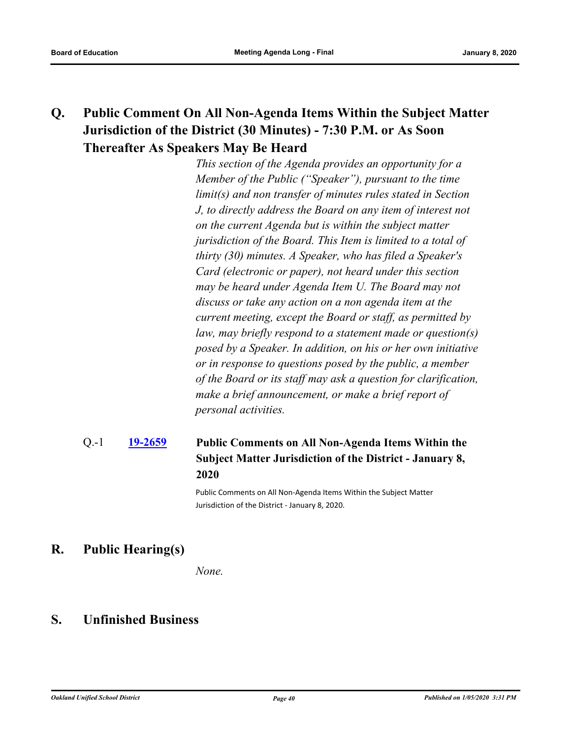## **Q. Public Comment On All Non-Agenda Items Within the Subject Matter Jurisdiction of the District (30 Minutes) - 7:30 P.M. or As Soon Thereafter As Speakers May Be Heard**

*This section of the Agenda provides an opportunity for a Member of the Public ("Speaker"), pursuant to the time limit(s) and non transfer of minutes rules stated in Section J, to directly address the Board on any item of interest not on the current Agenda but is within the subject matter jurisdiction of the Board. This Item is limited to a total of thirty (30) minutes. A Speaker, who has filed a Speaker's Card (electronic or paper), not heard under this section may be heard under Agenda Item U. The Board may not discuss or take any action on a non agenda item at the current meeting, except the Board or staff, as permitted by law, may briefly respond to a statement made or question(s) posed by a Speaker. In addition, on his or her own initiative or in response to questions posed by the public, a member of the Board or its staff may ask a question for clarification, make a brief announcement, or make a brief report of personal activities.*

#### **[19-2659](http://ousd.legistar.com/gateway.aspx?m=l&id=/matter.aspx?key=48565) Public Comments on All Non-Agenda Items Within the Subject Matter Jurisdiction of the District - January 8, 2020** Q.-1

Public Comments on All Non-Agenda Items Within the Subject Matter Jurisdiction of the District - January 8, 2020.

### **R. Public Hearing(s)**

*None.*

### **S. Unfinished Business**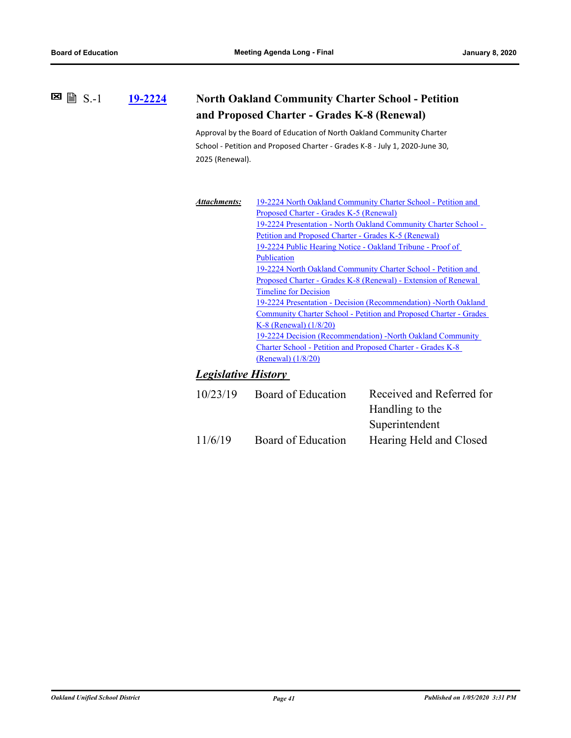**[19-2224](http://ousd.legistar.com/gateway.aspx?m=l&id=/matter.aspx?key=48138) North Oakland Community Charter School - Petition**   $\Xi$   $\Box$   $S.-1$ 

### **and Proposed Charter - Grades K-8 (Renewal)**

Approval by the Board of Education of North Oakland Community Charter School - Petition and Proposed Charter - Grades K-8 - July 1, 2020-June 30, 2025 (Renewal).

| Attachments: | 19-2224 North Oakland Community Charter School - Petition and                                                                                                                                                                                  |  |  |
|--------------|------------------------------------------------------------------------------------------------------------------------------------------------------------------------------------------------------------------------------------------------|--|--|
|              | Proposed Charter - Grades K-5 (Renewal)                                                                                                                                                                                                        |  |  |
|              | 19-2224 Presentation - North Oakland Community Charter School -                                                                                                                                                                                |  |  |
|              | Petition and Proposed Charter - Grades K-5 (Renewal)                                                                                                                                                                                           |  |  |
|              | 19-2224 Public Hearing Notice - Oakland Tribune - Proof of                                                                                                                                                                                     |  |  |
|              | Publication                                                                                                                                                                                                                                    |  |  |
|              | 19-2224 North Oakland Community Charter School - Petition and                                                                                                                                                                                  |  |  |
|              | Proposed Charter - Grades K-8 (Renewal) - Extension of Renewal<br><b>Timeline for Decision</b><br>19-2224 Presentation - Decision (Recommendation) - North Oakland<br><b>Community Charter School - Petition and Proposed Charter - Grades</b> |  |  |
|              |                                                                                                                                                                                                                                                |  |  |
|              |                                                                                                                                                                                                                                                |  |  |
|              |                                                                                                                                                                                                                                                |  |  |
|              | K-8 (Renewal) $(1/8/20)$                                                                                                                                                                                                                       |  |  |
|              | 19-2224 Decision (Recommendation) -North Oakland Community                                                                                                                                                                                     |  |  |
|              | Charter School - Petition and Proposed Charter - Grades K-8                                                                                                                                                                                    |  |  |
|              | (Renewal) (1/8/20)                                                                                                                                                                                                                             |  |  |
|              |                                                                                                                                                                                                                                                |  |  |

### *Legislative History*

| 10/23/19 | Board of Education | Received and Referred for |  |
|----------|--------------------|---------------------------|--|
|          |                    | Handling to the           |  |
|          |                    | Superintendent            |  |
| 11/6/19  | Board of Education | Hearing Held and Closed   |  |
|          |                    |                           |  |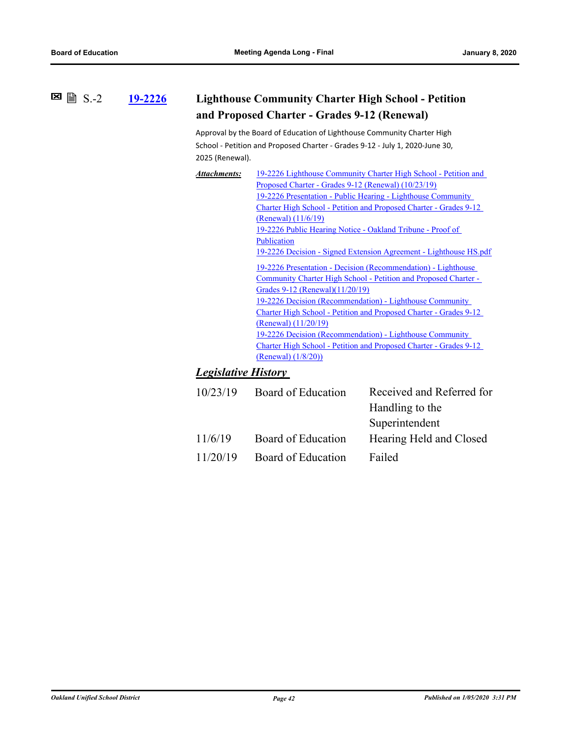#### **[19-2226](http://ousd.legistar.com/gateway.aspx?m=l&id=/matter.aspx?key=48140) Lighthouse Community Charter High School - Petition and Proposed Charter - Grades 9-12 (Renewal) 図** 圖 S.-2

Approval by the Board of Education of Lighthouse Community Charter High School - Petition and Proposed Charter - Grades 9-12 - July 1, 2020-June 30, 2025 (Renewal).

| <b>Attachments:</b>                                               | 19-2226 Lighthouse Community Charter High School - Petition and          |  |  |
|-------------------------------------------------------------------|--------------------------------------------------------------------------|--|--|
|                                                                   | Proposed Charter - Grades 9-12 (Renewal) (10/23/19)                      |  |  |
|                                                                   | 19-2226 Presentation - Public Hearing - Lighthouse Community             |  |  |
|                                                                   | <b>Charter High School - Petition and Proposed Charter - Grades 9-12</b> |  |  |
|                                                                   | (Renewal) $(11/6/19)$                                                    |  |  |
|                                                                   | 19-2226 Public Hearing Notice - Oakland Tribune - Proof of               |  |  |
|                                                                   | Publication                                                              |  |  |
| 19-2226 Decision - Signed Extension Agreement - Lighthouse HS.pdf |                                                                          |  |  |
|                                                                   | 19-2226 Presentation - Decision (Recommendation) - Lighthouse            |  |  |
|                                                                   | Community Charter High School - Petition and Proposed Charter -          |  |  |
|                                                                   | Grades 9-12 (Renewal)(11/20/19)                                          |  |  |
|                                                                   | 19-2226 Decision (Recommendation) - Lighthouse Community                 |  |  |
|                                                                   | <b>Charter High School - Petition and Proposed Charter - Grades 9-12</b> |  |  |
|                                                                   | $(Renewal)$ $(11/20/19)$                                                 |  |  |
|                                                                   | 19-2226 Decision (Recommendation) - Lighthouse Community                 |  |  |
|                                                                   | <b>Charter High School - Petition and Proposed Charter - Grades 9-12</b> |  |  |
|                                                                   | (Renewal) (1/8/20)                                                       |  |  |

### *Legislative History*

| 10/23/19 | Board of Education | Received and Referred for |  |
|----------|--------------------|---------------------------|--|
|          |                    | Handling to the           |  |
|          |                    | Superintendent            |  |
| 11/6/19  | Board of Education | Hearing Held and Closed   |  |
| 11/20/19 | Board of Education | Failed                    |  |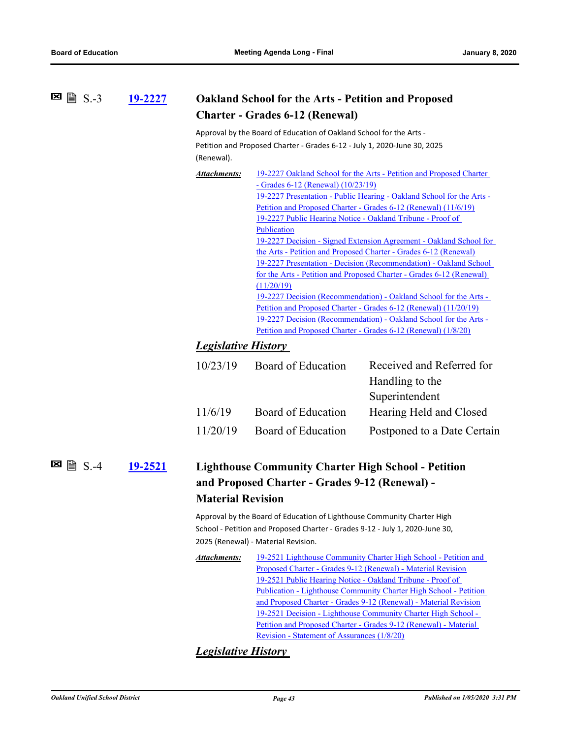| 19-2227 | <b>Oakland School for the Arts - Petition and Proposed</b> |
|---------|------------------------------------------------------------|
|         | <b>Charter - Grades 6-12 (Renewal)</b>                     |

Approval by the Board of Education of Oakland School for the Arts - Petition and Proposed Charter - Grades 6-12 - July 1, 2020-June 30, 2025 (Renewal).

| Attachments: | 19-2227 Oakland School for the Arts - Petition and Proposed Charter |
|--------------|---------------------------------------------------------------------|
|              |                                                                     |

- Grades 6-12 (Renewal) (10/23/19) [19-2227 Presentation - Public Hearing - Oakland School for the Arts -](http://ousd.legistar.com/gateway.aspx?M=F&ID=93172.pptx)  Petition and Proposed Charter - Grades 6-12 (Renewal) (11/6/19) [19-2227 Public Hearing Notice - Oakland Tribune - Proof of](http://ousd.legistar.com/gateway.aspx?M=F&ID=93269.pdf)  Publication [19-2227 Decision - Signed Extension Agreement - Oakland School for](http://ousd.legistar.com/gateway.aspx?M=F&ID=93794.pdf)  the Arts - Petition and Proposed Charter - Grades 6-12 (Renewal) [19-2227 Presentation - Decision \(Recommendation\) - Oakland School](http://ousd.legistar.com/gateway.aspx?M=F&ID=93399.pptx)  for the Arts - Petition and Proposed Charter - Grades 6-12 (Renewal) (11/20/19) [19-2227 Decision \(Recommendation\) - Oakland School for the Arts -](http://ousd.legistar.com/gateway.aspx?M=F&ID=93400.pdf)  Petition and Proposed Charter - Grades 6-12 (Renewal) (11/20/19) [19-2227 Decision \(Recommendation\) - Oakland School for the Arts -](http://ousd.legistar.com/gateway.aspx?M=F&ID=93801.pdf)  Petition and Proposed Charter - Grades 6-12 (Renewal) (1/8/20)

#### *Legislative History*

| 10/23/19 | Board of Education | Received and Referred for   |
|----------|--------------------|-----------------------------|
|          |                    | Handling to the             |
|          |                    | Superintendent              |
| 11/6/19  | Board of Education | Hearing Held and Closed     |
| 11/20/19 | Board of Education | Postponed to a Date Certain |
|          |                    |                             |

#### **[19-2521](http://ousd.legistar.com/gateway.aspx?m=l&id=/matter.aspx?key=48431) Lighthouse Community Charter High School - Petition and Proposed Charter - Grades 9-12 (Renewal) - Material Revision**  $\Xi$  A  $S$  -4

Approval by the Board of Education of Lighthouse Community Charter High School - Petition and Proposed Charter - Grades 9-12 - July 1, 2020-June 30, 2025 (Renewal) - Material Revision.

[19-2521 Lighthouse Community Charter High School - Petition and](http://ousd.legistar.com/gateway.aspx?M=F&ID=93574.pdf)  Proposed Charter - Grades 9-12 (Renewal) - Material Revision 19-2521 Public Hearing Notice - Oakland Tribune - Proof of [Publication - Lighthouse Community Charter High School - Petition](http://ousd.legistar.com/gateway.aspx?M=F&ID=93570.pdf)  and Proposed Charter - Grades 9-12 (Renewal) - Material Revision [19-2521 Decision - Lighthouse Community Charter High School -](http://ousd.legistar.com/gateway.aspx?M=F&ID=93797.pdf)  Petition and Proposed Charter - Grades 9-12 (Renewal) - Material Revision - Statement of Assurances (1/8/20) *Attachments:*

### *Legislative History*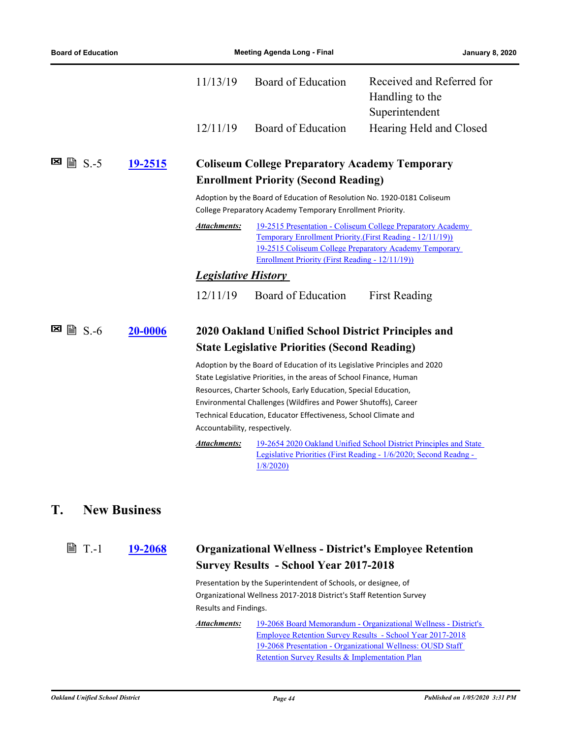|                            |                                                                                                                                       | 11/13/19                                                                                                                                                                                                                                                                                                                                                                                   | Board of Education                                                                                                                                                                                                                                    | Received and Referred for<br>Handling to the                                                                                           |  |
|----------------------------|---------------------------------------------------------------------------------------------------------------------------------------|--------------------------------------------------------------------------------------------------------------------------------------------------------------------------------------------------------------------------------------------------------------------------------------------------------------------------------------------------------------------------------------------|-------------------------------------------------------------------------------------------------------------------------------------------------------------------------------------------------------------------------------------------------------|----------------------------------------------------------------------------------------------------------------------------------------|--|
|                            |                                                                                                                                       | 12/11/19                                                                                                                                                                                                                                                                                                                                                                                   | Board of Education                                                                                                                                                                                                                                    | Superintendent<br>Hearing Held and Closed                                                                                              |  |
| ⊠<br>$\exists$ S.-5        | 19-2515                                                                                                                               |                                                                                                                                                                                                                                                                                                                                                                                            | <b>Coliseum College Preparatory Academy Temporary</b>                                                                                                                                                                                                 |                                                                                                                                        |  |
|                            |                                                                                                                                       | <b>Enrollment Priority (Second Reading)</b>                                                                                                                                                                                                                                                                                                                                                |                                                                                                                                                                                                                                                       |                                                                                                                                        |  |
|                            | Adoption by the Board of Education of Resolution No. 1920-0181 Coliseum<br>College Preparatory Academy Temporary Enrollment Priority. |                                                                                                                                                                                                                                                                                                                                                                                            |                                                                                                                                                                                                                                                       |                                                                                                                                        |  |
|                            |                                                                                                                                       | <b>Attachments:</b>                                                                                                                                                                                                                                                                                                                                                                        | 19-2515 Presentation - Coliseum College Preparatory Academy<br><b>Temporary Enrollment Priority. (First Reading - 12/11/19))</b><br>19-2515 Coliseum College Preparatory Academy Temporary<br><u> Enrollment Priority (First Reading - 12/11/19))</u> |                                                                                                                                        |  |
|                            |                                                                                                                                       | <b>Legislative History</b>                                                                                                                                                                                                                                                                                                                                                                 |                                                                                                                                                                                                                                                       |                                                                                                                                        |  |
|                            |                                                                                                                                       | 12/11/19                                                                                                                                                                                                                                                                                                                                                                                   | Board of Education                                                                                                                                                                                                                                    | <b>First Reading</b>                                                                                                                   |  |
| $\lvert \cdot \rvert$ S.-6 | 20-0006                                                                                                                               | 2020 Oakland Unified School District Principles and<br><b>State Legislative Priorities (Second Reading)</b>                                                                                                                                                                                                                                                                                |                                                                                                                                                                                                                                                       |                                                                                                                                        |  |
|                            |                                                                                                                                       | Adoption by the Board of Education of its Legislative Principles and 2020<br>State Legislative Priorities, in the areas of School Finance, Human<br>Resources, Charter Schools, Early Education, Special Education,<br>Environmental Challenges (Wildfires and Power Shutoffs), Career<br>Technical Education, Educator Effectiveness, School Climate and<br>Accountability, respectively. |                                                                                                                                                                                                                                                       |                                                                                                                                        |  |
|                            |                                                                                                                                       | Attachments:                                                                                                                                                                                                                                                                                                                                                                               | 1/8/2020                                                                                                                                                                                                                                              | 19-2654 2020 Oakland Unified School District Principles and State<br>Legislative Priorities (First Reading - 1/6/2020; Second Readng - |  |

### **T. New Business**

**[19-2068](http://ousd.legistar.com/gateway.aspx?m=l&id=/matter.aspx?key=47982) Organizational Wellness - District's Employee Retention Survey Results - School Year 2017-2018 ■ T.-1** 

> Presentation by the Superintendent of Schools, or designee, of Organizational Wellness 2017-2018 District's Staff Retention Survey Results and Findings.

[19-2068 Board Memorandum - Organizational Wellness - District's](http://ousd.legistar.com/gateway.aspx?M=F&ID=93865.pdf)  Employee Retention Survey Results - School Year 2017-2018 [19-2068 Presentation - Organizational Wellness: OUSD Staff](http://ousd.legistar.com/gateway.aspx?M=F&ID=93866.pptx)  Retention Survey Results & Implementation Plan *Attachments:*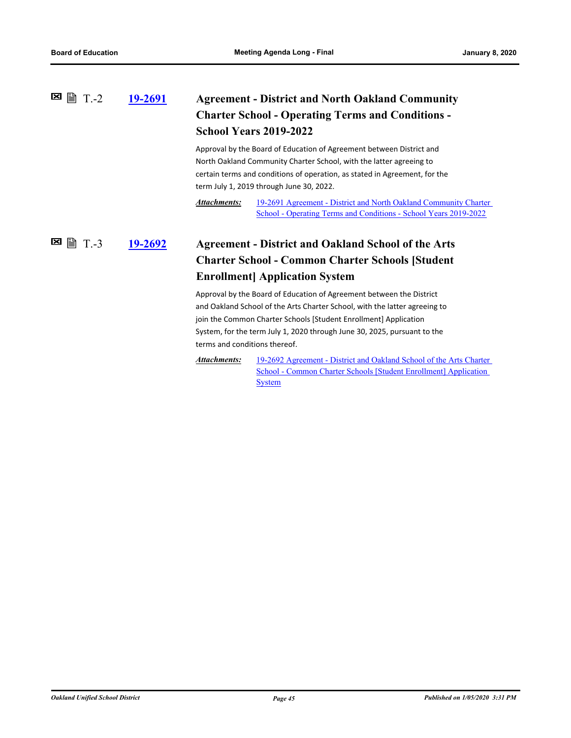### **[19-2691](http://ousd.legistar.com/gateway.aspx?m=l&id=/matter.aspx?key=48597) Agreement - District and North Oakland Community Charter School - Operating Terms and Conditions - School Years 2019-2022**  $■ P = T. -2$

Approval by the Board of Education of Agreement between District and North Oakland Community Charter School, with the latter agreeing to certain terms and conditions of operation, as stated in Agreement, for the term July 1, 2019 through June 30, 2022.

[19-2691 Agreement - District and North Oakland Community Charter](http://ousd.legistar.com/gateway.aspx?M=F&ID=93802.pdf)  School - Operating Terms and Conditions - School Years 2019-2022 *Attachments:*

#### **[19-2692](http://ousd.legistar.com/gateway.aspx?m=l&id=/matter.aspx?key=48598) Agreement - District and Oakland School of the Arts Charter School - Common Charter Schools [Student Enrollment] Application System**  $\Xi$  = T.-3

Approval by the Board of Education of Agreement between the District and Oakland School of the Arts Charter School, with the latter agreeing to join the Common Charter Schools [Student Enrollment] Application System, for the term July 1, 2020 through June 30, 2025, pursuant to the terms and conditions thereof.

```
19-2692 Agreement - District and Oakland School of the Arts Charter 
                School - Common Charter Schools [Student Enrollment] Application 
                System
Attachments:
```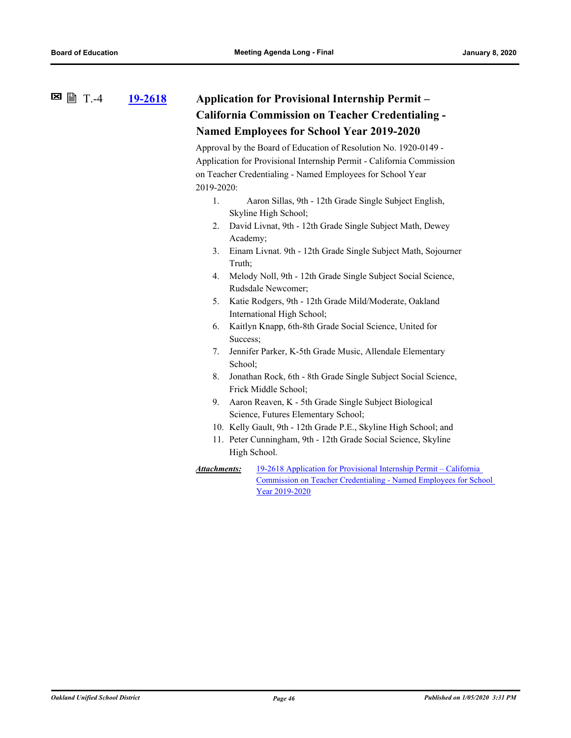#### **[19-2618](http://ousd.legistar.com/gateway.aspx?m=l&id=/matter.aspx?key=48524) Application for Provisional Internship Permit – California Commission on Teacher Credentialing - Named Employees for School Year 2019-2020**  $\Xi$  ■  $T.-4$

Approval by the Board of Education of Resolution No. 1920-0149 - Application for Provisional Internship Permit - California Commission on Teacher Credentialing - Named Employees for School Year 2019-2020:

- 1. Aaron Sillas, 9th 12th Grade Single Subject English, Skyline High School;
- 2. David Livnat, 9th 12th Grade Single Subject Math, Dewey Academy;
- 3. Einam Livnat. 9th 12th Grade Single Subject Math, Sojourner Truth;
- 4. Melody Noll, 9th 12th Grade Single Subject Social Science, Rudsdale Newcomer;
- 5. Katie Rodgers, 9th 12th Grade Mild/Moderate, Oakland International High School;
- 6. Kaitlyn Knapp, 6th-8th Grade Social Science, United for Success;
- 7. Jennifer Parker, K-5th Grade Music, Allendale Elementary School;
- 8. Jonathan Rock, 6th 8th Grade Single Subject Social Science, Frick Middle School;
- 9. Aaron Reaven, K 5th Grade Single Subject Biological Science, Futures Elementary School;
- 10. Kelly Gault, 9th 12th Grade P.E., Skyline High School; and
- 11. Peter Cunningham, 9th 12th Grade Social Science, Skyline High School.
- 19-2618 Application for Provisional Internship Permit California [Commission on Teacher Credentialing - Named Employees for School](http://ousd.legistar.com/gateway.aspx?M=F&ID=93736.pdf)  Year 2019-2020 *Attachments:*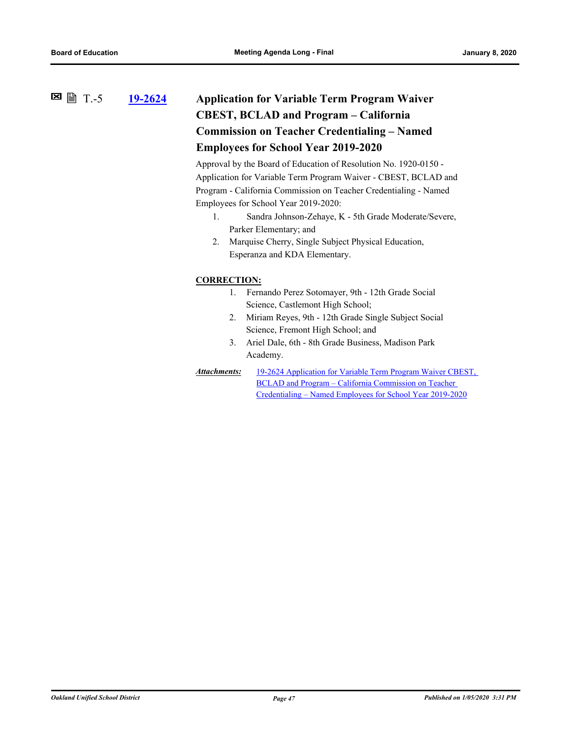### **[19-2624](http://ousd.legistar.com/gateway.aspx?m=l&id=/matter.aspx?key=48530) Application for Variable Term Program Waiver CBEST, BCLAD and Program – California Commission on Teacher Credentialing – Named Employees for School Year 2019-2020**  $■$  ■ ■ T.-5

Approval by the Board of Education of Resolution No. 1920-0150 - Application for Variable Term Program Waiver - CBEST, BCLAD and Program - California Commission on Teacher Credentialing - Named Employees for School Year 2019-2020:

- 1. Sandra Johnson-Zehaye, K 5th Grade Moderate/Severe, Parker Elementary; and
- 2. Marquise Cherry, Single Subject Physical Education, Esperanza and KDA Elementary.

#### **CORRECTION:**

- 1. Fernando Perez Sotomayer, 9th 12th Grade Social Science, Castlemont High School;
- 2. Miriam Reyes, 9th 12th Grade Single Subject Social Science, Fremont High School; and
- 3. Ariel Dale, 6th 8th Grade Business, Madison Park Academy.
- [19-2624 Application for Variable Term Program Waiver CBEST,](http://ousd.legistar.com/gateway.aspx?M=F&ID=93737.pdf)  BCLAD and Program – California Commission on Teacher Credentialing – Named Employees for School Year 2019-2020 *Attachments:*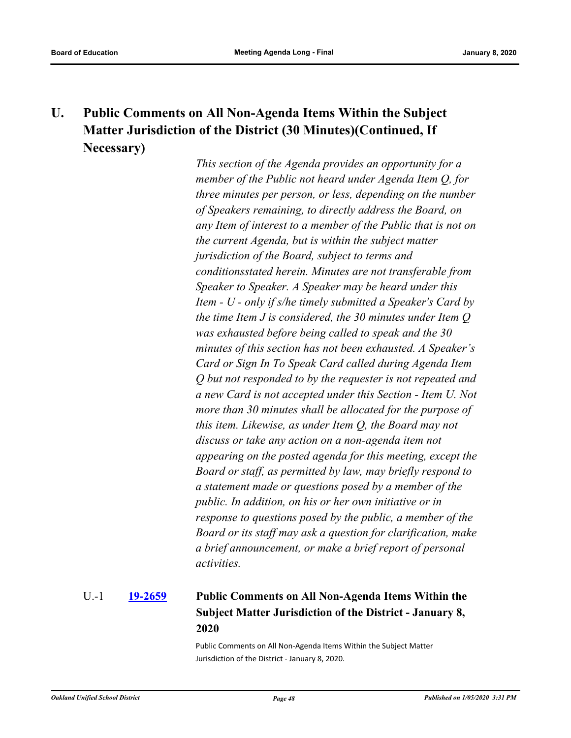## **U. Public Comments on All Non-Agenda Items Within the Subject Matter Jurisdiction of the District (30 Minutes)(Continued, If Necessary)**

*This section of the Agenda provides an opportunity for a member of the Public not heard under Agenda Item Q, for three minutes per person, or less, depending on the number of Speakers remaining, to directly address the Board, on any Item of interest to a member of the Public that is not on the current Agenda, but is within the subject matter jurisdiction of the Board, subject to terms and conditionsstated herein. Minutes are not transferable from Speaker to Speaker. A Speaker may be heard under this Item - U - only if s/he timely submitted a Speaker's Card by the time Item J is considered, the 30 minutes under Item Q was exhausted before being called to speak and the 30 minutes of this section has not been exhausted. A Speaker's Card or Sign In To Speak Card called during Agenda Item Q but not responded to by the requester is not repeated and a new Card is not accepted under this Section - Item U. Not more than 30 minutes shall be allocated for the purpose of this item. Likewise, as under Item Q, the Board may not discuss or take any action on a non-agenda item not appearing on the posted agenda for this meeting, except the Board or staff, as permitted by law, may briefly respond to a statement made or questions posed by a member of the public. In addition, on his or her own initiative or in response to questions posed by the public, a member of the Board or its staff may ask a question for clarification, make a brief announcement, or make a brief report of personal activities.*

#### **[19-2659](http://ousd.legistar.com/gateway.aspx?m=l&id=/matter.aspx?key=48565) Public Comments on All Non-Agenda Items Within the Subject Matter Jurisdiction of the District - January 8, 2020** U.-1

Public Comments on All Non-Agenda Items Within the Subject Matter Jurisdiction of the District - January 8, 2020.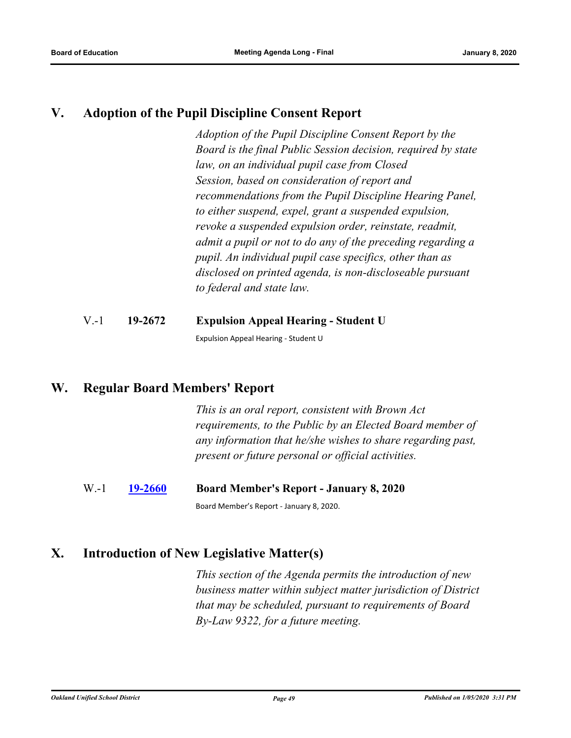### **V. Adoption of the Pupil Discipline Consent Report**

*Adoption of the Pupil Discipline Consent Report by the Board is the final Public Session decision, required by state law, on an individual pupil case from Closed Session, based on consideration of report and recommendations from the Pupil Discipline Hearing Panel, to either suspend, expel, grant a suspended expulsion, revoke a suspended expulsion order, reinstate, readmit, admit a pupil or not to do any of the preceding regarding a pupil. An individual pupil case specifics, other than as disclosed on printed agenda, is non-discloseable pursuant to federal and state law.*

### V.-1 **19-2672 Expulsion Appeal Hearing - Student U**

Expulsion Appeal Hearing - Student U

### **W. Regular Board Members' Report**

*This is an oral report, consistent with Brown Act requirements, to the Public by an Elected Board member of any information that he/she wishes to share regarding past, present or future personal or official activities.*

### W.-1 **[19-2660](http://ousd.legistar.com/gateway.aspx?m=l&id=/matter.aspx?key=48566) Board Member's Report - January 8, 2020**

Board Member's Report - January 8, 2020.

### **X. Introduction of New Legislative Matter(s)**

*This section of the Agenda permits the introduction of new business matter within subject matter jurisdiction of District that may be scheduled, pursuant to requirements of Board By-Law 9322, for a future meeting.*